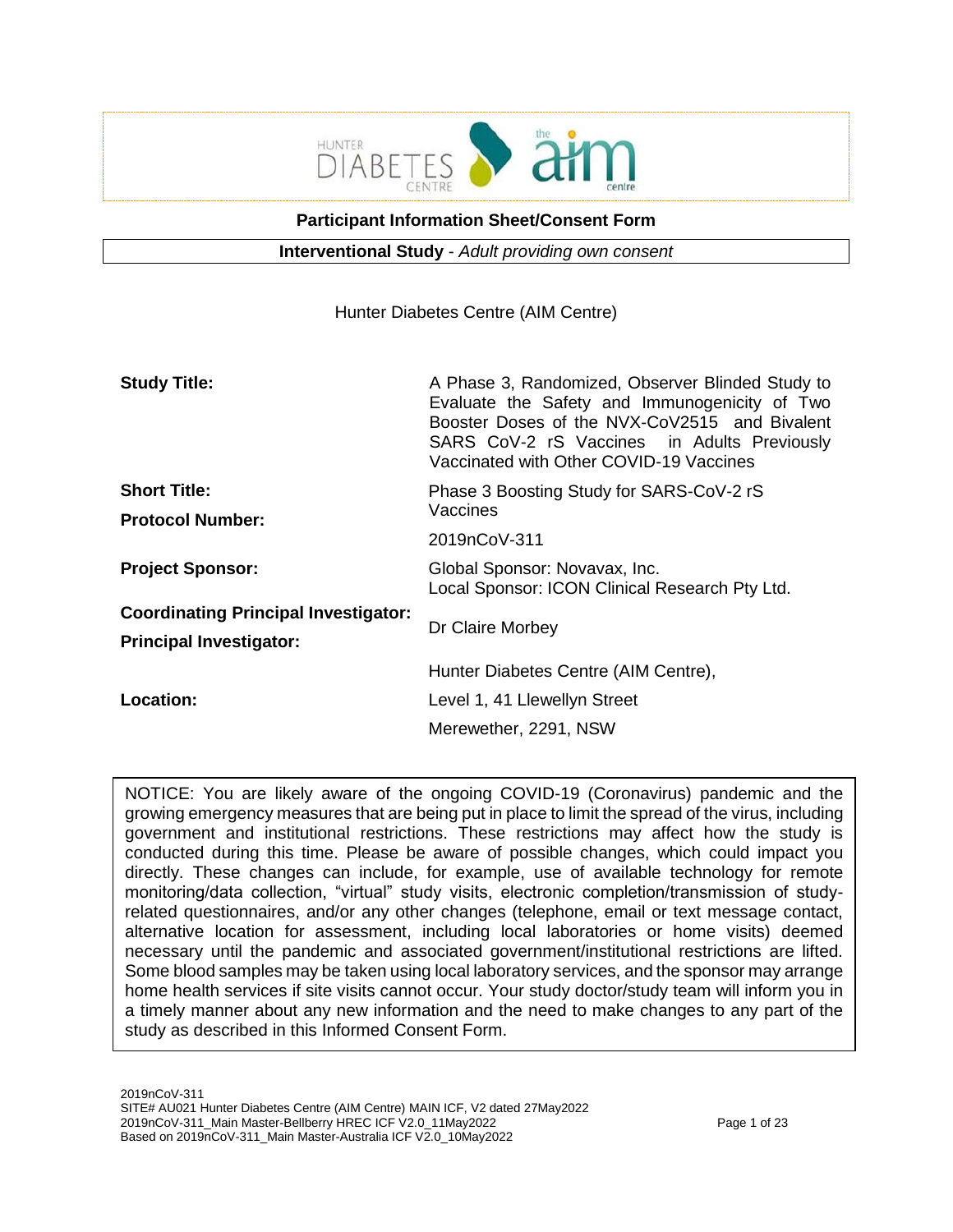

**Participant Information Sheet/Consent Form**

**Interventional Study** - *Adult providing own consent*

Hunter Diabetes Centre (AIM Centre)

| <b>Study Title:</b>                                                           | A Phase 3, Randomized, Observer Blinded Study to<br>Evaluate the Safety and Immunogenicity of Two<br>Booster Doses of the NVX-CoV2515 and Bivalent<br>SARS CoV-2 rS Vaccines in Adults Previously<br>Vaccinated with Other COVID-19 Vaccines |  |  |  |
|-------------------------------------------------------------------------------|----------------------------------------------------------------------------------------------------------------------------------------------------------------------------------------------------------------------------------------------|--|--|--|
| <b>Short Title:</b>                                                           | Phase 3 Boosting Study for SARS-CoV-2 rS                                                                                                                                                                                                     |  |  |  |
| <b>Protocol Number:</b>                                                       | Vaccines                                                                                                                                                                                                                                     |  |  |  |
|                                                                               | 2019nCoV-311                                                                                                                                                                                                                                 |  |  |  |
| <b>Project Sponsor:</b>                                                       | Global Sponsor: Novavax, Inc.<br>Local Sponsor: ICON Clinical Research Pty Ltd.                                                                                                                                                              |  |  |  |
| <b>Coordinating Principal Investigator:</b><br><b>Principal Investigator:</b> | Dr Claire Morbey                                                                                                                                                                                                                             |  |  |  |
|                                                                               | Hunter Diabetes Centre (AIM Centre),                                                                                                                                                                                                         |  |  |  |
| Location:                                                                     | Level 1, 41 Llewellyn Street                                                                                                                                                                                                                 |  |  |  |
|                                                                               | Merewether, 2291, NSW                                                                                                                                                                                                                        |  |  |  |

NOTICE: You are likely aware of the ongoing COVID-19 (Coronavirus) pandemic and the growing emergency measures that are being put in place to limit the spread of the virus, including government and institutional restrictions. These restrictions may affect how the study is conducted during this time. Please be aware of possible changes, which could impact you directly. These changes can include, for example, use of available technology for remote monitoring/data collection, "virtual" study visits, electronic completion/transmission of studyrelated questionnaires, and/or any other changes (telephone, email or text message contact, alternative location for assessment, including local laboratories or home visits) deemed necessary until the pandemic and associated government/institutional restrictions are lifted. Some blood samples may be taken using local laboratory services, and the sponsor may arrange home health services if site visits cannot occur. Your study doctor/study team will inform you in a timely manner about any new information and the need to make changes to any part of the study as described in this Informed Consent Form.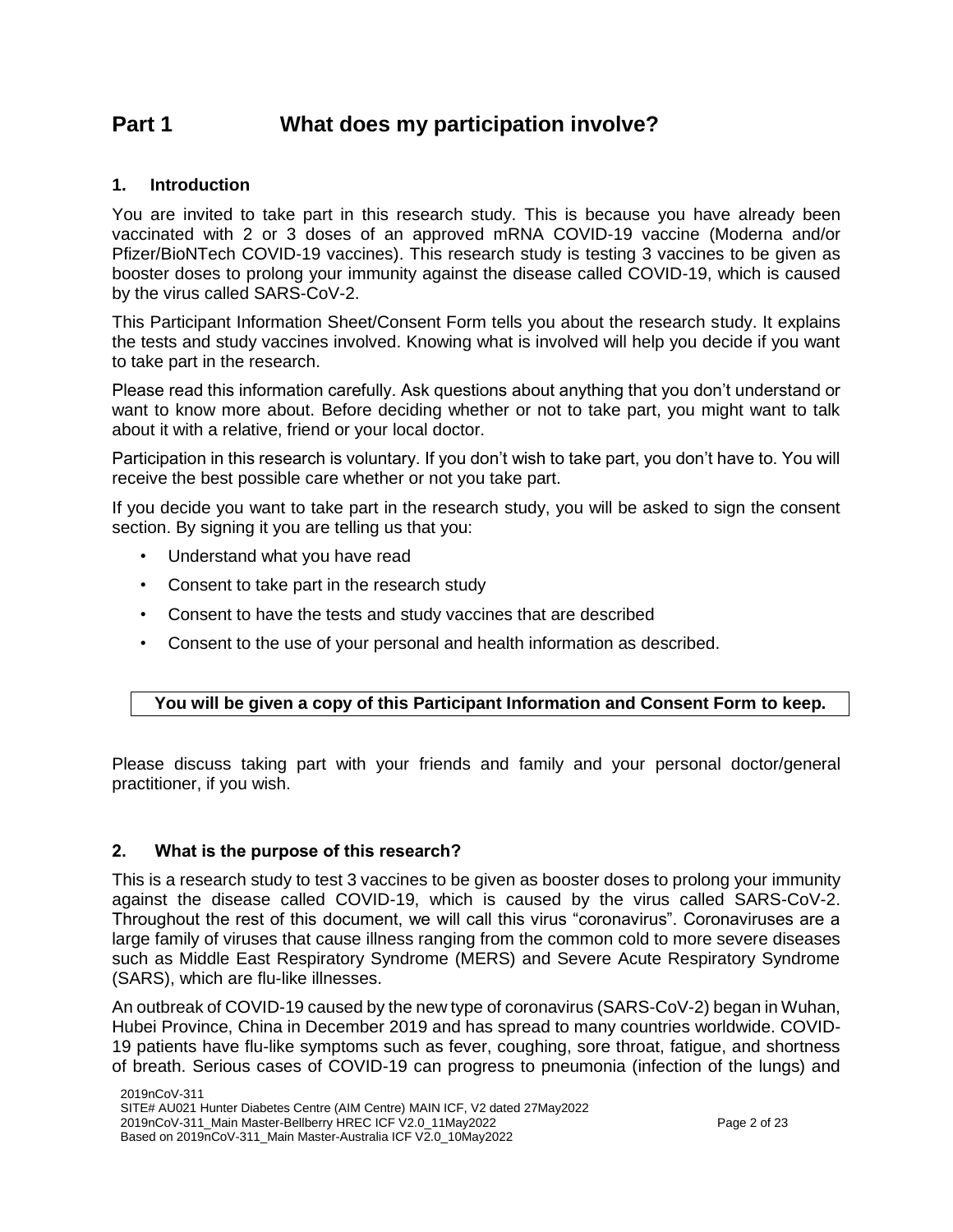# **Part 1 What does my participation involve?**

# **1. Introduction**

You are invited to take part in this research study. This is because you have already been vaccinated with 2 or 3 doses of an approved mRNA COVID-19 vaccine (Moderna and/or Pfizer/BioNTech COVID-19 vaccines). This research study is testing 3 vaccines to be given as booster doses to prolong your immunity against the disease called COVID-19, which is caused by the virus called SARS-CoV-2.

This Participant Information Sheet/Consent Form tells you about the research study. It explains the tests and study vaccines involved. Knowing what is involved will help you decide if you want to take part in the research.

Please read this information carefully. Ask questions about anything that you don't understand or want to know more about. Before deciding whether or not to take part, you might want to talk about it with a relative, friend or your local doctor.

Participation in this research is voluntary. If you don't wish to take part, you don't have to. You will receive the best possible care whether or not you take part.

If you decide you want to take part in the research study, you will be asked to sign the consent section. By signing it you are telling us that you:

- Understand what you have read
- Consent to take part in the research study
- Consent to have the tests and study vaccines that are described
- Consent to the use of your personal and health information as described.

# **You will be given a copy of this Participant Information and Consent Form to keep.**

Please discuss taking part with your friends and family and your personal doctor/general practitioner, if you wish.

# **2. What is the purpose of this research?**

This is a research study to test 3 vaccines to be given as booster doses to prolong your immunity against the disease called COVID-19, which is caused by the virus called SARS-CoV-2. Throughout the rest of this document, we will call this virus "coronavirus". Coronaviruses are a large family of viruses that cause illness ranging from the common cold to more severe diseases such as Middle East Respiratory Syndrome (MERS) and Severe Acute Respiratory Syndrome (SARS), which are flu-like illnesses.

An outbreak of COVID-19 caused by the new type of coronavirus (SARS-CoV-2) began in Wuhan, Hubei Province, China in December 2019 and has spread to many countries worldwide. COVID-19 patients have flu-like symptoms such as fever, coughing, sore throat, fatigue, and shortness of breath. Serious cases of COVID-19 can progress to pneumonia (infection of the lungs) and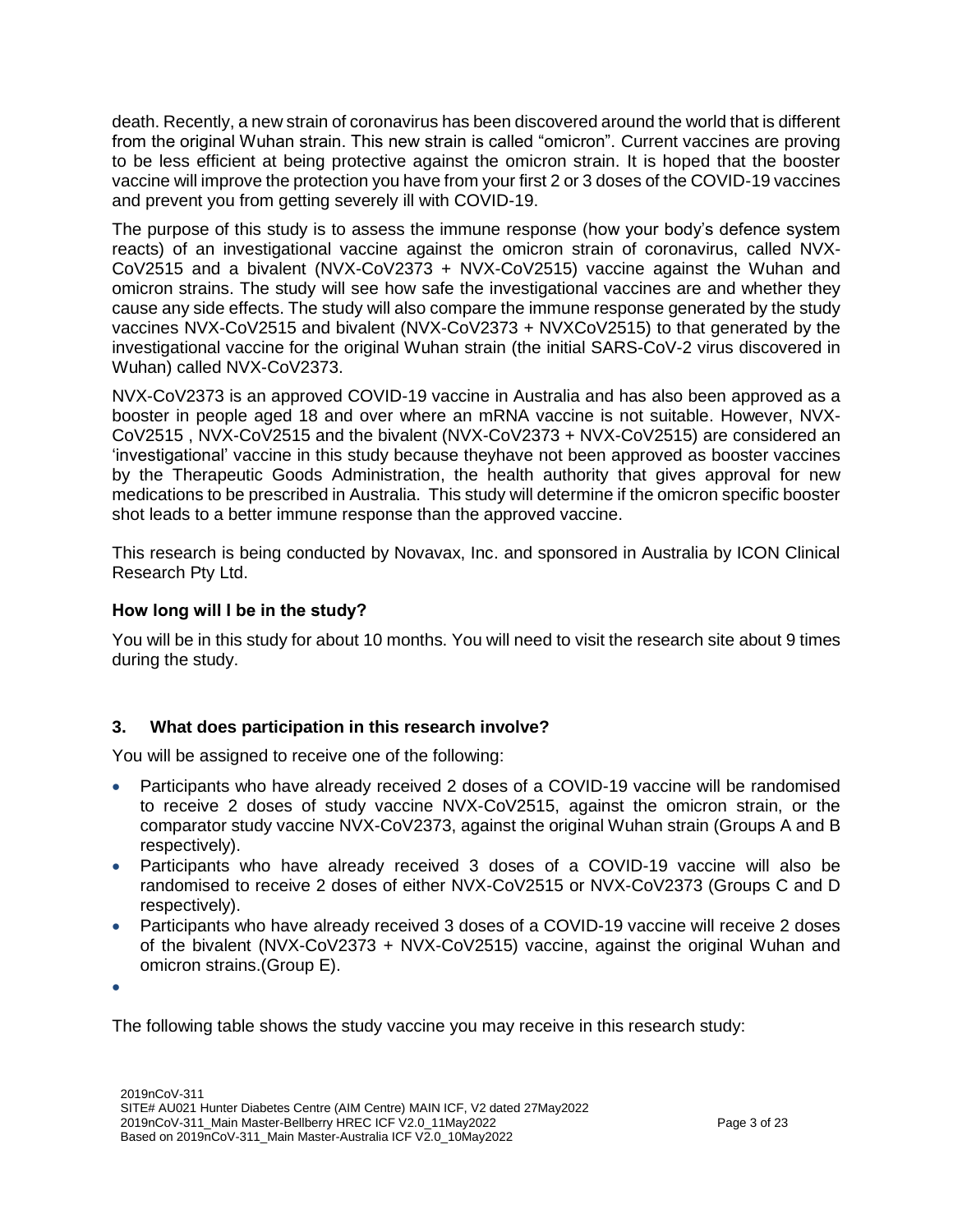death. Recently, a new strain of coronavirus has been discovered around the world that is different from the original Wuhan strain. This new strain is called "omicron". Current vaccines are proving to be less efficient at being protective against the omicron strain. It is hoped that the booster vaccine will improve the protection you have from your first 2 or 3 doses of the COVID-19 vaccines and prevent you from getting severely ill with COVID-19.

The purpose of this study is to assess the immune response (how your body's defence system reacts) of an investigational vaccine against the omicron strain of coronavirus, called NVX-CoV2515 and a bivalent (NVX-CoV2373 + NVX-CoV2515) vaccine against the Wuhan and omicron strains. The study will see how safe the investigational vaccines are and whether they cause any side effects. The study will also compare the immune response generated by the study vaccines NVX-CoV2515 and bivalent (NVX-CoV2373 + NVXCoV2515) to that generated by the investigational vaccine for the original Wuhan strain (the initial SARS-CoV-2 virus discovered in Wuhan) called NVX-CoV2373.

NVX-CoV2373 is an approved COVID-19 vaccine in Australia and has also been approved as a booster in people aged 18 and over where an mRNA vaccine is not suitable. However, NVX-CoV2515 , NVX-CoV2515 and the bivalent (NVX-CoV2373 + NVX-CoV2515) are considered an 'investigational' vaccine in this study because theyhave not been approved as booster vaccines by the Therapeutic Goods Administration, the health authority that gives approval for new medications to be prescribed in Australia. This study will determine if the omicron specific booster shot leads to a better immune response than the approved vaccine.

This research is being conducted by Novavax, Inc. and sponsored in Australia by ICON Clinical Research Pty Ltd.

# **How long will I be in the study?**

You will be in this study for about 10 months. You will need to visit the research site about 9 times during the study.

# **3. What does participation in this research involve?**

You will be assigned to receive one of the following:

- Participants who have already received 2 doses of a COVID-19 vaccine will be randomised to receive 2 doses of study vaccine NVX-CoV2515, against the omicron strain, or the comparator study vaccine NVX-CoV2373, against the original Wuhan strain (Groups A and B respectively).
- Participants who have already received 3 doses of a COVID-19 vaccine will also be randomised to receive 2 doses of either NVX-CoV2515 or NVX-CoV2373 (Groups C and D respectively).
- Participants who have already received 3 doses of a COVID-19 vaccine will receive 2 doses of the bivalent (NVX-CoV2373 + NVX-CoV2515) vaccine, against the original Wuhan and omicron strains.(Group E).

 $\bullet$ 

The following table shows the study vaccine you may receive in this research study: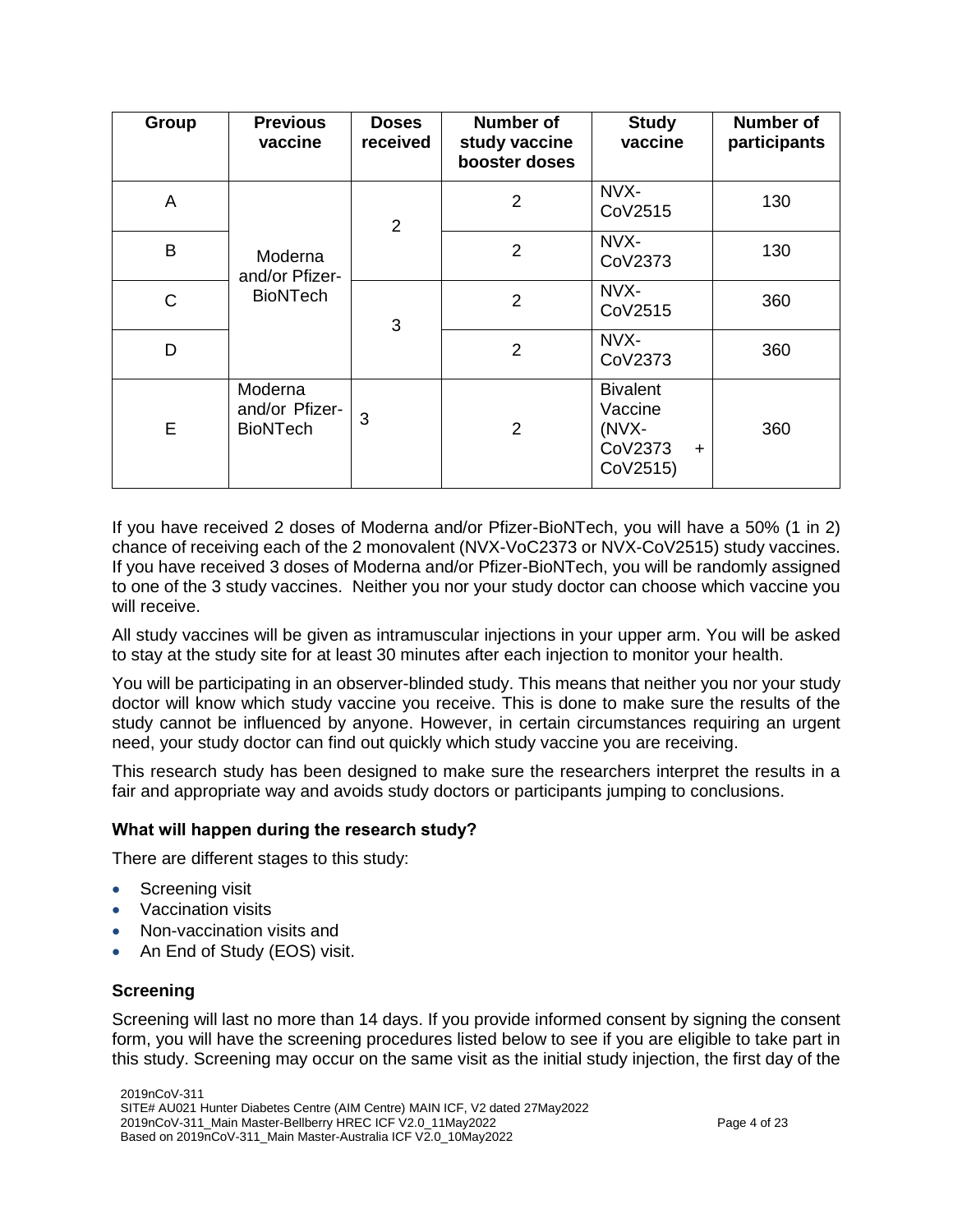| Group | <b>Previous</b><br>vaccine                   | <b>Doses</b><br>received | <b>Number of</b><br>study vaccine<br>booster doses | <b>Study</b><br>vaccine                                                 | <b>Number of</b><br>participants |
|-------|----------------------------------------------|--------------------------|----------------------------------------------------|-------------------------------------------------------------------------|----------------------------------|
| A     |                                              | $\overline{2}$           | $\overline{2}$                                     | NVX-<br>CoV2515                                                         | 130                              |
| B     | Moderna<br>and/or Pfizer-                    |                          | $\overline{2}$                                     | NVX-<br>CoV2373                                                         | 130                              |
| C     | <b>BioNTech</b>                              | 3                        | $\overline{2}$                                     | NVX-<br>CoV2515                                                         | 360                              |
| D     |                                              |                          | $\overline{2}$                                     | NVX-<br>CoV2373                                                         | 360                              |
| E     | Moderna<br>and/or Pfizer-<br><b>BioNTech</b> | 3                        | 2                                                  | <b>Bivalent</b><br>Vaccine<br>(NVX-<br>CoV2373<br>$\ddot{}$<br>CoV2515) | 360                              |

If you have received 2 doses of Moderna and/or Pfizer-BioNTech, you will have a 50% (1 in 2) chance of receiving each of the 2 monovalent (NVX-VoC2373 or NVX-CoV2515) study vaccines. If you have received 3 doses of Moderna and/or Pfizer-BioNTech, you will be randomly assigned to one of the 3 study vaccines. Neither you nor your study doctor can choose which vaccine you will receive.

All study vaccines will be given as intramuscular injections in your upper arm. You will be asked to stay at the study site for at least 30 minutes after each injection to monitor your health.

You will be participating in an observer-blinded study. This means that neither you nor your study doctor will know which study vaccine you receive. This is done to make sure the results of the study cannot be influenced by anyone. However, in certain circumstances requiring an urgent need, your study doctor can find out quickly which study vaccine you are receiving.

This research study has been designed to make sure the researchers interpret the results in a fair and appropriate way and avoids study doctors or participants jumping to conclusions.

#### **What will happen during the research study?**

There are different stages to this study:

- Screening visit
- Vaccination visits
- Non-vaccination visits and
- An End of Study (EOS) visit.

# **Screening**

Screening will last no more than 14 days. If you provide informed consent by signing the consent form, you will have the screening procedures listed below to see if you are eligible to take part in this study. Screening may occur on the same visit as the initial study injection, the first day of the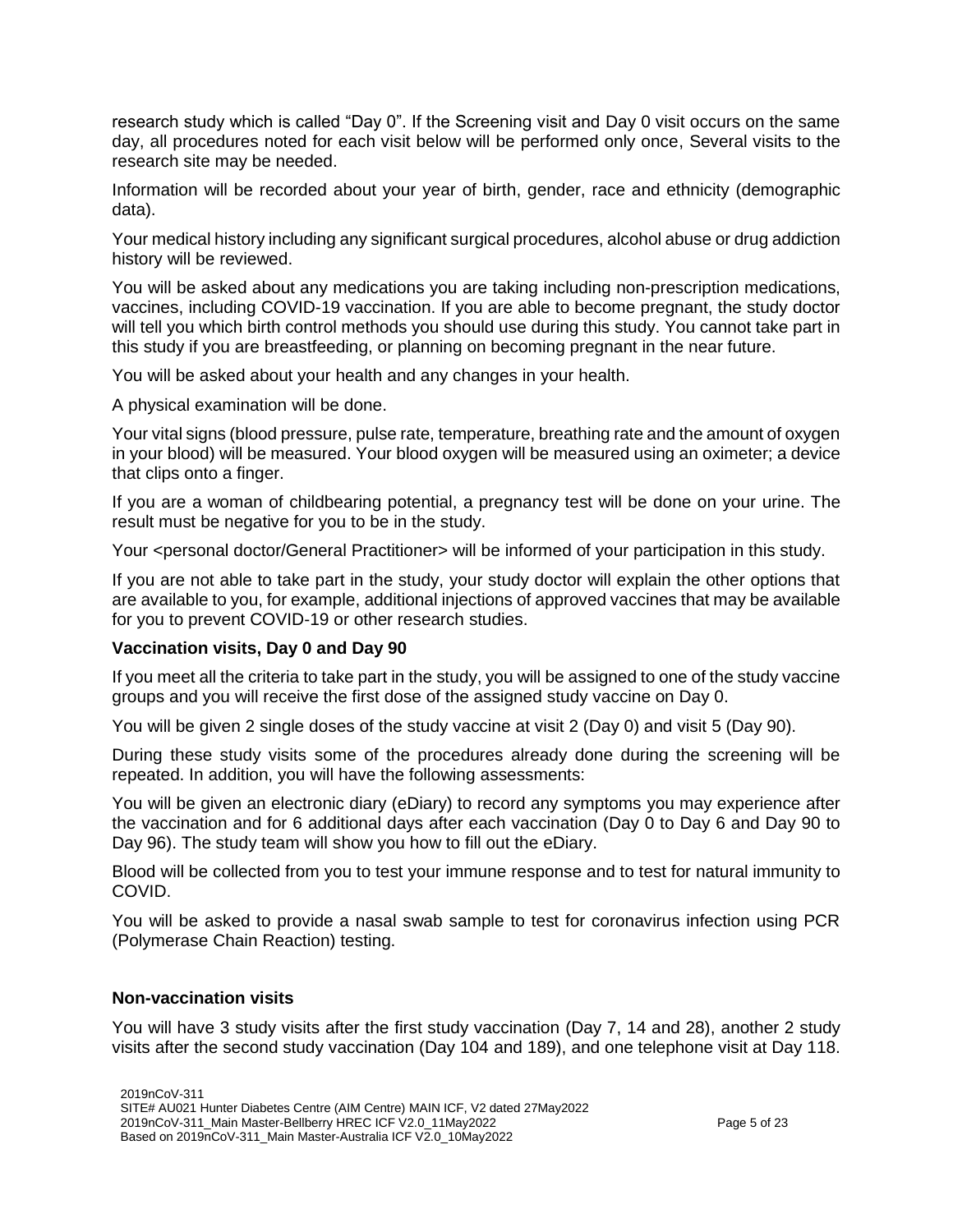research study which is called "Day 0". If the Screening visit and Day 0 visit occurs on the same day, all procedures noted for each visit below will be performed only once, Several visits to the research site may be needed.

Information will be recorded about your year of birth, gender, race and ethnicity (demographic data).

Your medical history including any significant surgical procedures, alcohol abuse or drug addiction history will be reviewed.

You will be asked about any medications you are taking including non-prescription medications, vaccines, including COVID-19 vaccination. If you are able to become pregnant, the study doctor will tell you which birth control methods you should use during this study. You cannot take part in this study if you are breastfeeding, or planning on becoming pregnant in the near future.

You will be asked about your health and any changes in your health.

A physical examination will be done.

Your vital signs (blood pressure, pulse rate, temperature, breathing rate and the amount of oxygen in your blood) will be measured. Your blood oxygen will be measured using an oximeter; a device that clips onto a finger.

If you are a woman of childbearing potential, a pregnancy test will be done on your urine. The result must be negative for you to be in the study.

Your <personal doctor/General Practitioner> will be informed of your participation in this study.

If you are not able to take part in the study, your study doctor will explain the other options that are available to you, for example, additional injections of approved vaccines that may be available for you to prevent COVID-19 or other research studies.

# **Vaccination visits, Day 0 and Day 90**

If you meet all the criteria to take part in the study, you will be assigned to one of the study vaccine groups and you will receive the first dose of the assigned study vaccine on Day 0.

You will be given 2 single doses of the study vaccine at visit 2 (Day 0) and visit 5 (Day 90).

During these study visits some of the procedures already done during the screening will be repeated. In addition, you will have the following assessments:

You will be given an electronic diary (eDiary) to record any symptoms you may experience after the vaccination and for 6 additional days after each vaccination (Day 0 to Day 6 and Day 90 to Day 96). The study team will show you how to fill out the eDiary.

Blood will be collected from you to test your immune response and to test for natural immunity to COVID.

You will be asked to provide a nasal swab sample to test for coronavirus infection using PCR (Polymerase Chain Reaction) testing.

#### **Non-vaccination visits**

You will have 3 study visits after the first study vaccination (Day 7, 14 and 28), another 2 study visits after the second study vaccination (Day 104 and 189), and one telephone visit at Day 118.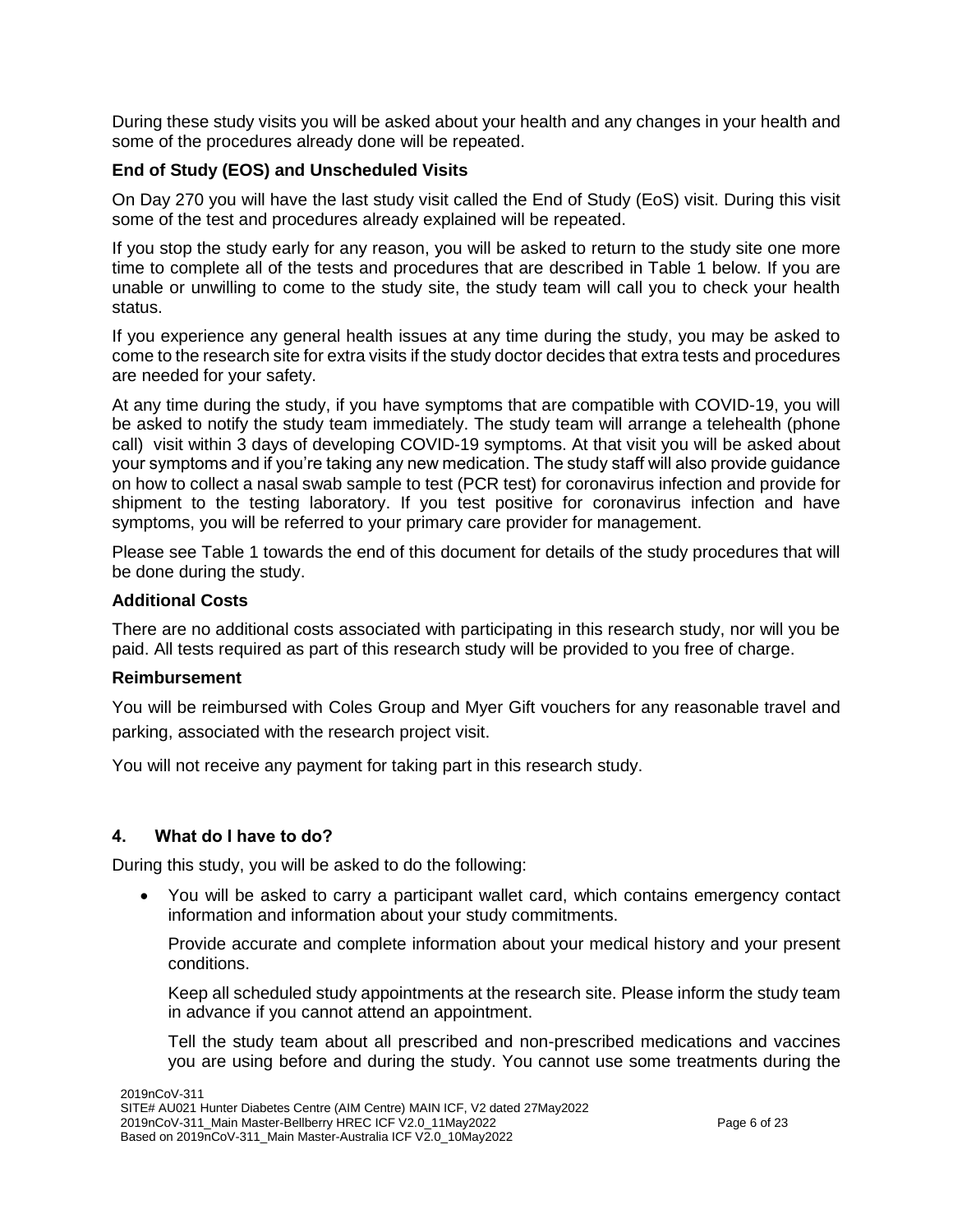During these study visits you will be asked about your health and any changes in your health and some of the procedures already done will be repeated.

# **End of Study (EOS) and Unscheduled Visits**

On Day 270 you will have the last study visit called the End of Study (EoS) visit. During this visit some of the test and procedures already explained will be repeated.

If you stop the study early for any reason, you will be asked to return to the study site one more time to complete all of the tests and procedures that are described in Table 1 below. If you are unable or unwilling to come to the study site, the study team will call you to check your health status.

If you experience any general health issues at any time during the study, you may be asked to come to the research site for extra visits if the study doctor decides that extra tests and procedures are needed for your safety.

At any time during the study, if you have symptoms that are compatible with COVID-19, you will be asked to notify the study team immediately. The study team will arrange a telehealth (phone call) visit within 3 days of developing COVID-19 symptoms. At that visit you will be asked about your symptoms and if you're taking any new medication. The study staff will also provide guidance on how to collect a nasal swab sample to test (PCR test) for coronavirus infection and provide for shipment to the testing laboratory. If you test positive for coronavirus infection and have symptoms, you will be referred to your primary care provider for management.

Please see Table 1 towards the end of this document for details of the study procedures that will be done during the study.

### **Additional Costs**

There are no additional costs associated with participating in this research study, nor will you be paid. All tests required as part of this research study will be provided to you free of charge.

#### **Reimbursement**

You will be reimbursed with Coles Group and Myer Gift vouchers for any reasonable travel and parking, associated with the research project visit.

You will not receive any payment for taking part in this research study.

# **4. What do I have to do?**

During this study, you will be asked to do the following:

 You will be asked to carry a participant wallet card, which contains emergency contact information and information about your study commitments.

Provide accurate and complete information about your medical history and your present conditions.

Keep all scheduled study appointments at the research site. Please inform the study team in advance if you cannot attend an appointment.

Tell the study team about all prescribed and non-prescribed medications and vaccines you are using before and during the study. You cannot use some treatments during the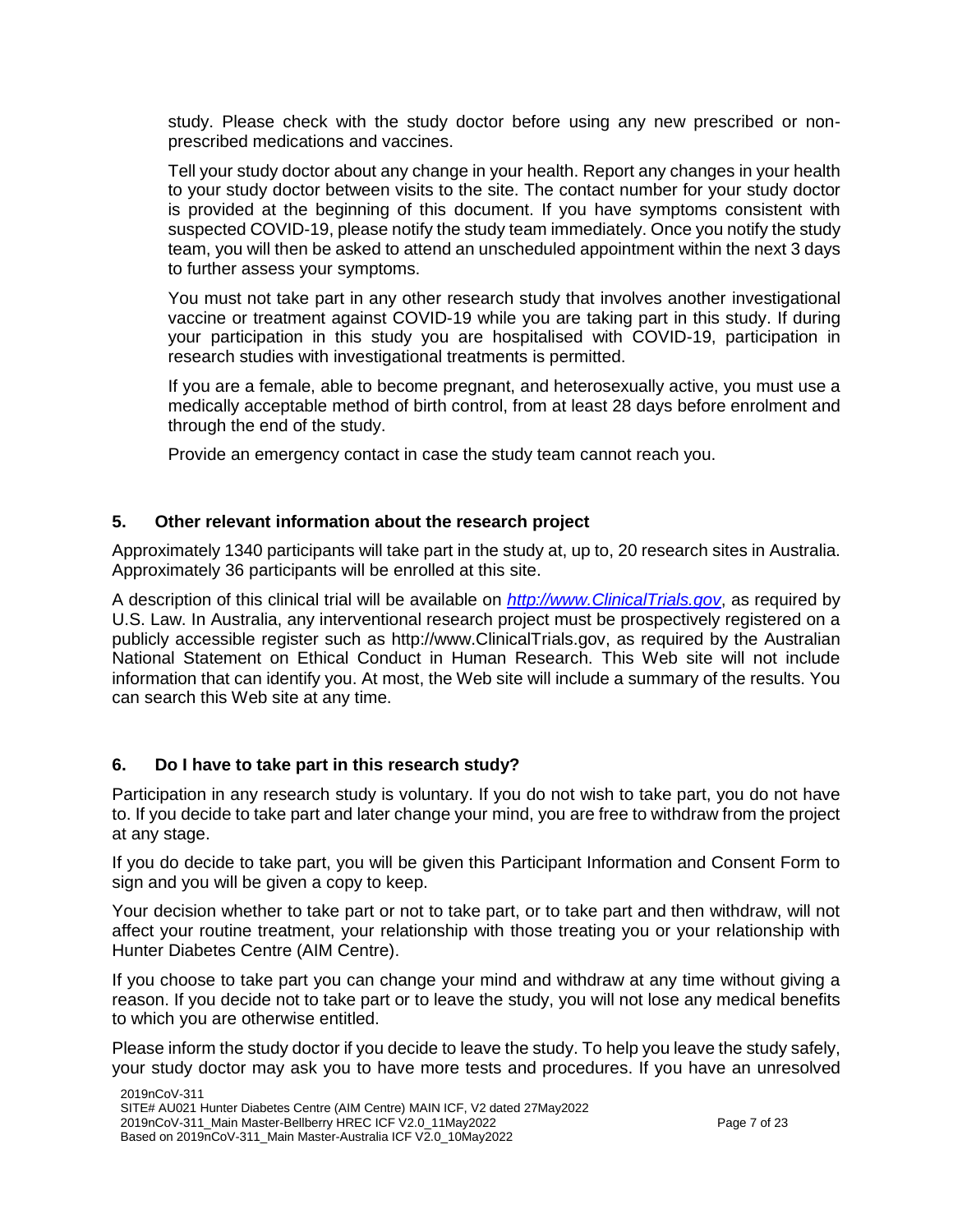study. Please check with the study doctor before using any new prescribed or nonprescribed medications and vaccines.

Tell your study doctor about any change in your health. Report any changes in your health to your study doctor between visits to the site. The contact number for your study doctor is provided at the beginning of this document. If you have symptoms consistent with suspected COVID-19, please notify the study team immediately. Once you notify the study team, you will then be asked to attend an unscheduled appointment within the next 3 days to further assess your symptoms.

You must not take part in any other research study that involves another investigational vaccine or treatment against COVID-19 while you are taking part in this study. If during your participation in this study you are hospitalised with COVID-19, participation in research studies with investigational treatments is permitted.

If you are a female, able to become pregnant, and heterosexually active, you must use a medically acceptable method of birth control, from at least 28 days before enrolment and through the end of the study.

Provide an emergency contact in case the study team cannot reach you.

# **5. Other relevant information about the research project**

Approximately 1340 participants will take part in the study at, up to, 20 research sites in Australia. Approximately 36 participants will be enrolled at this site.

A description of this clinical trial will be available on *[http://www.ClinicalTrials.gov](http://www.clinicaltrials.gov/)*, as required by U.S. Law. In Australia, any interventional research project must be prospectively registered on a publicly accessible register such as http://www.ClinicalTrials.gov, as required by the Australian National Statement on Ethical Conduct in Human Research. This Web site will not include information that can identify you. At most, the Web site will include a summary of the results. You can search this Web site at any time.

# **6. Do I have to take part in this research study?**

Participation in any research study is voluntary. If you do not wish to take part, you do not have to. If you decide to take part and later change your mind, you are free to withdraw from the project at any stage.

If you do decide to take part, you will be given this Participant Information and Consent Form to sign and you will be given a copy to keep.

Your decision whether to take part or not to take part, or to take part and then withdraw, will not affect your routine treatment, your relationship with those treating you or your relationship with Hunter Diabetes Centre (AIM Centre).

If you choose to take part you can change your mind and withdraw at any time without giving a reason. If you decide not to take part or to leave the study, you will not lose any medical benefits to which you are otherwise entitled.

Please inform the study doctor if you decide to leave the study. To help you leave the study safely, your study doctor may ask you to have more tests and procedures. If you have an unresolved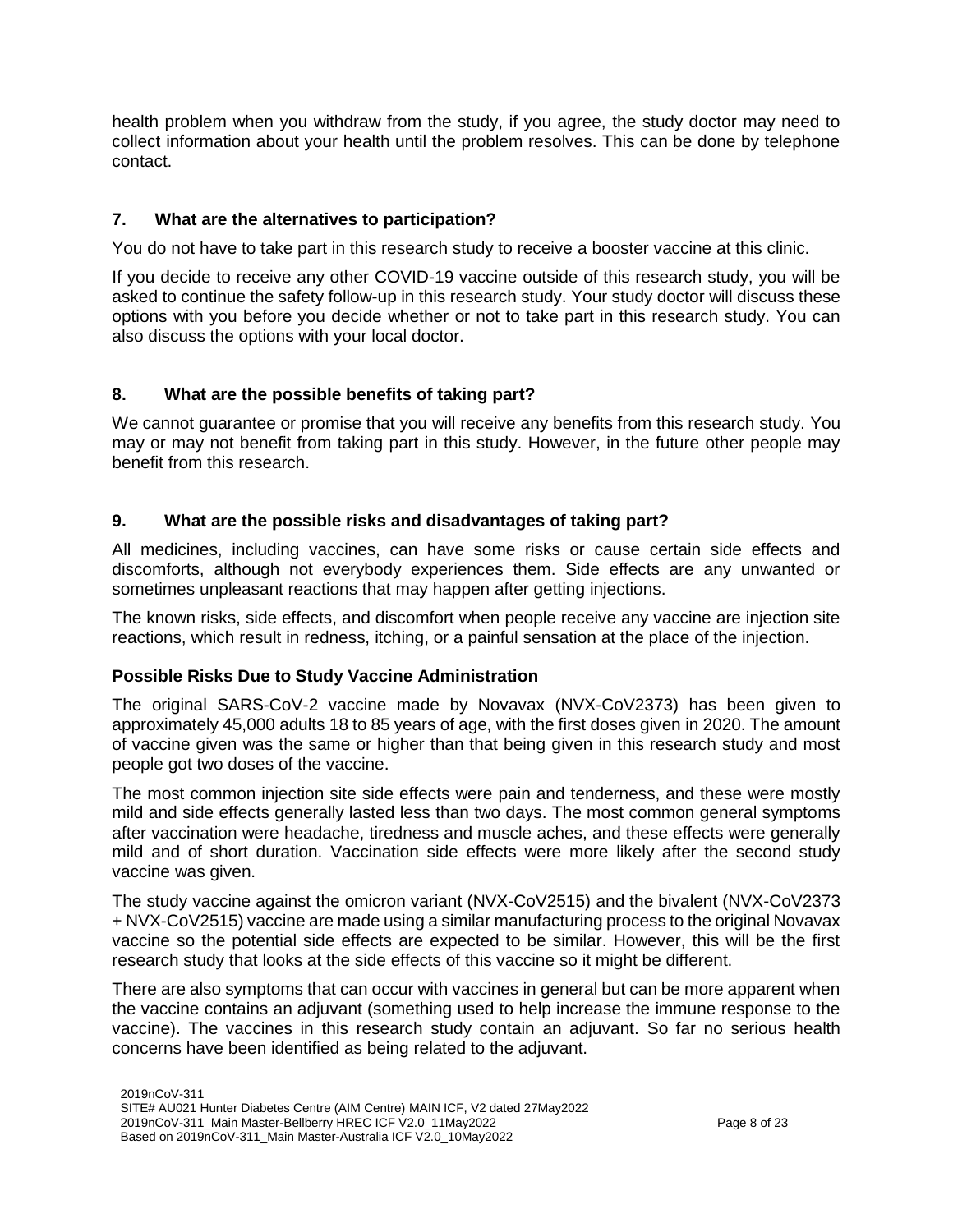health problem when you withdraw from the study, if you agree, the study doctor may need to collect information about your health until the problem resolves. This can be done by telephone contact.

# **7. What are the alternatives to participation?**

You do not have to take part in this research study to receive a booster vaccine at this clinic.

If you decide to receive any other COVID-19 vaccine outside of this research study, you will be asked to continue the safety follow-up in this research study. Your study doctor will discuss these options with you before you decide whether or not to take part in this research study. You can also discuss the options with your local doctor.

# **8. What are the possible benefits of taking part?**

We cannot guarantee or promise that you will receive any benefits from this research study. You may or may not benefit from taking part in this study. However, in the future other people may benefit from this research.

# **9. What are the possible risks and disadvantages of taking part?**

All medicines, including vaccines, can have some risks or cause certain side effects and discomforts, although not everybody experiences them. Side effects are any unwanted or sometimes unpleasant reactions that may happen after getting injections.

The known risks, side effects, and discomfort when people receive any vaccine are injection site reactions, which result in redness, itching, or a painful sensation at the place of the injection.

# **Possible Risks Due to Study Vaccine Administration**

The original SARS-CoV-2 vaccine made by Novavax (NVX-CoV2373) has been given to approximately 45,000 adults 18 to 85 years of age, with the first doses given in 2020. The amount of vaccine given was the same or higher than that being given in this research study and most people got two doses of the vaccine.

The most common injection site side effects were pain and tenderness, and these were mostly mild and side effects generally lasted less than two days. The most common general symptoms after vaccination were headache, tiredness and muscle aches, and these effects were generally mild and of short duration. Vaccination side effects were more likely after the second study vaccine was given.

The study vaccine against the omicron variant (NVX-CoV2515) and the bivalent (NVX-CoV2373 + NVX-CoV2515) vaccine are made using a similar manufacturing process to the original Novavax vaccine so the potential side effects are expected to be similar. However, this will be the first research study that looks at the side effects of this vaccine so it might be different.

There are also symptoms that can occur with vaccines in general but can be more apparent when the vaccine contains an adjuvant (something used to help increase the immune response to the vaccine). The vaccines in this research study contain an adjuvant. So far no serious health concerns have been identified as being related to the adjuvant.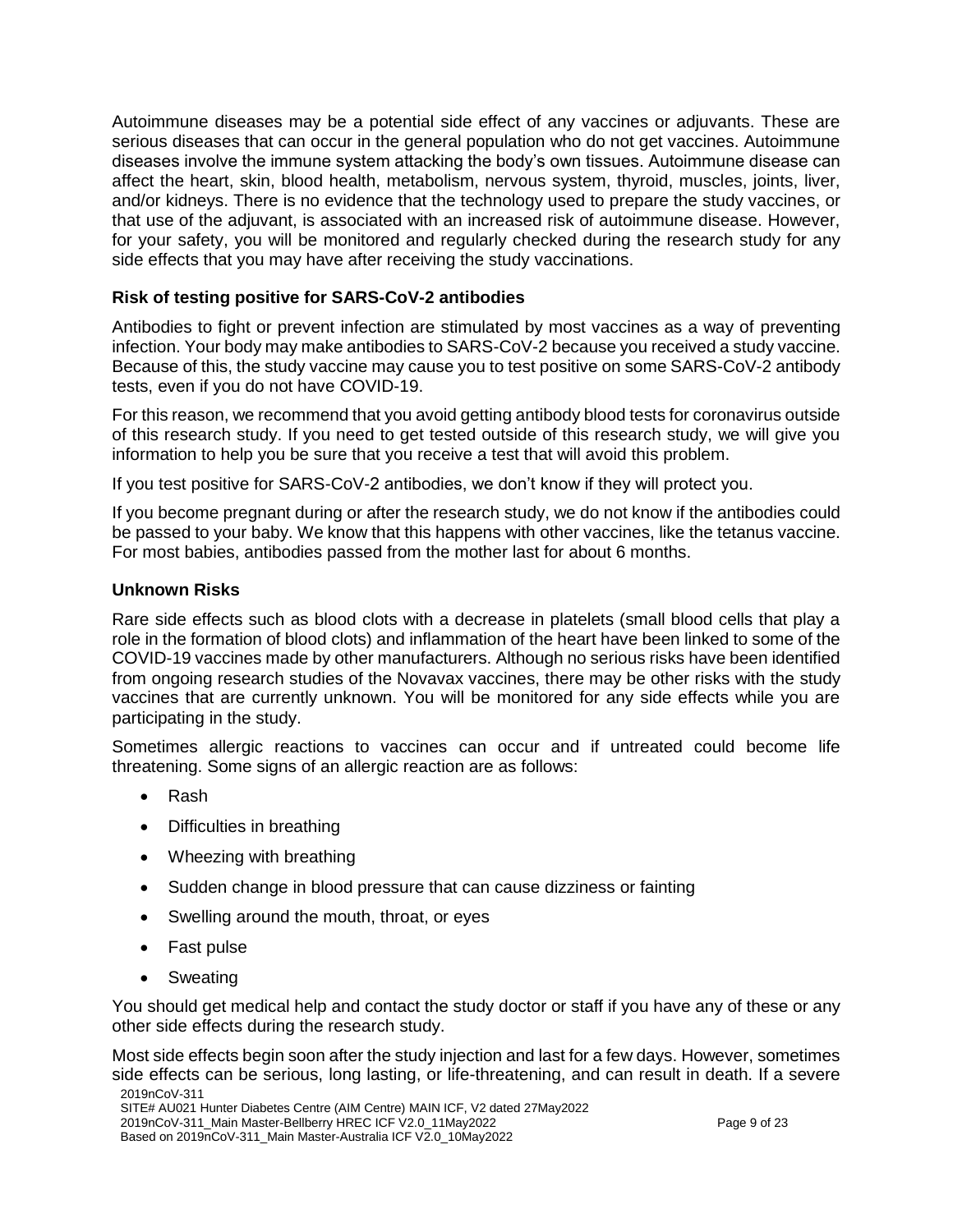Autoimmune diseases may be a potential side effect of any vaccines or adjuvants. These are serious diseases that can occur in the general population who do not get vaccines. Autoimmune diseases involve the immune system attacking the body's own tissues. Autoimmune disease can affect the heart, skin, blood health, metabolism, nervous system, thyroid, muscles, joints, liver, and/or kidneys. There is no evidence that the technology used to prepare the study vaccines, or that use of the adjuvant, is associated with an increased risk of autoimmune disease. However, for your safety, you will be monitored and regularly checked during the research study for any side effects that you may have after receiving the study vaccinations.

# **Risk of testing positive for SARS-CoV-2 antibodies**

Antibodies to fight or prevent infection are stimulated by most vaccines as a way of preventing infection. Your body may make antibodies to SARS-CoV-2 because you received a study vaccine. Because of this, the study vaccine may cause you to test positive on some SARS-CoV-2 antibody tests, even if you do not have COVID-19.

For this reason, we recommend that you avoid getting antibody blood tests for coronavirus outside of this research study. If you need to get tested outside of this research study, we will give you information to help you be sure that you receive a test that will avoid this problem.

If you test positive for SARS-CoV-2 antibodies, we don't know if they will protect you.

If you become pregnant during or after the research study, we do not know if the antibodies could be passed to your baby. We know that this happens with other vaccines, like the tetanus vaccine. For most babies, antibodies passed from the mother last for about 6 months.

# **Unknown Risks**

Rare side effects such as blood clots with a decrease in platelets (small blood cells that play a role in the formation of blood clots) and inflammation of the heart have been linked to some of the COVID-19 vaccines made by other manufacturers. Although no serious risks have been identified from ongoing research studies of the Novavax vaccines, there may be other risks with the study vaccines that are currently unknown. You will be monitored for any side effects while you are participating in the study.

Sometimes allergic reactions to vaccines can occur and if untreated could become life threatening. Some signs of an allergic reaction are as follows:

- Rash
- Difficulties in breathing
- Wheezing with breathing
- Sudden change in blood pressure that can cause dizziness or fainting
- Swelling around the mouth, throat, or eyes
- Fast pulse
- Sweating

You should get medical help and contact the study doctor or staff if you have any of these or any other side effects during the research study.

2019nCoV-311 Most side effects begin soon after the study injection and last for a few days. However, sometimes side effects can be serious, long lasting, or life-threatening, and can result in death. If a severe

SITE# AU021 Hunter Diabetes Centre (AIM Centre) MAIN ICF, V2 dated 27May2022

<sup>2019</sup>nCoV-311\_Main Master-Bellberry HREC ICF V2.0\_11May2022

Based on 2019nCoV-311\_Main Master-Australia ICF V2.0\_10May2022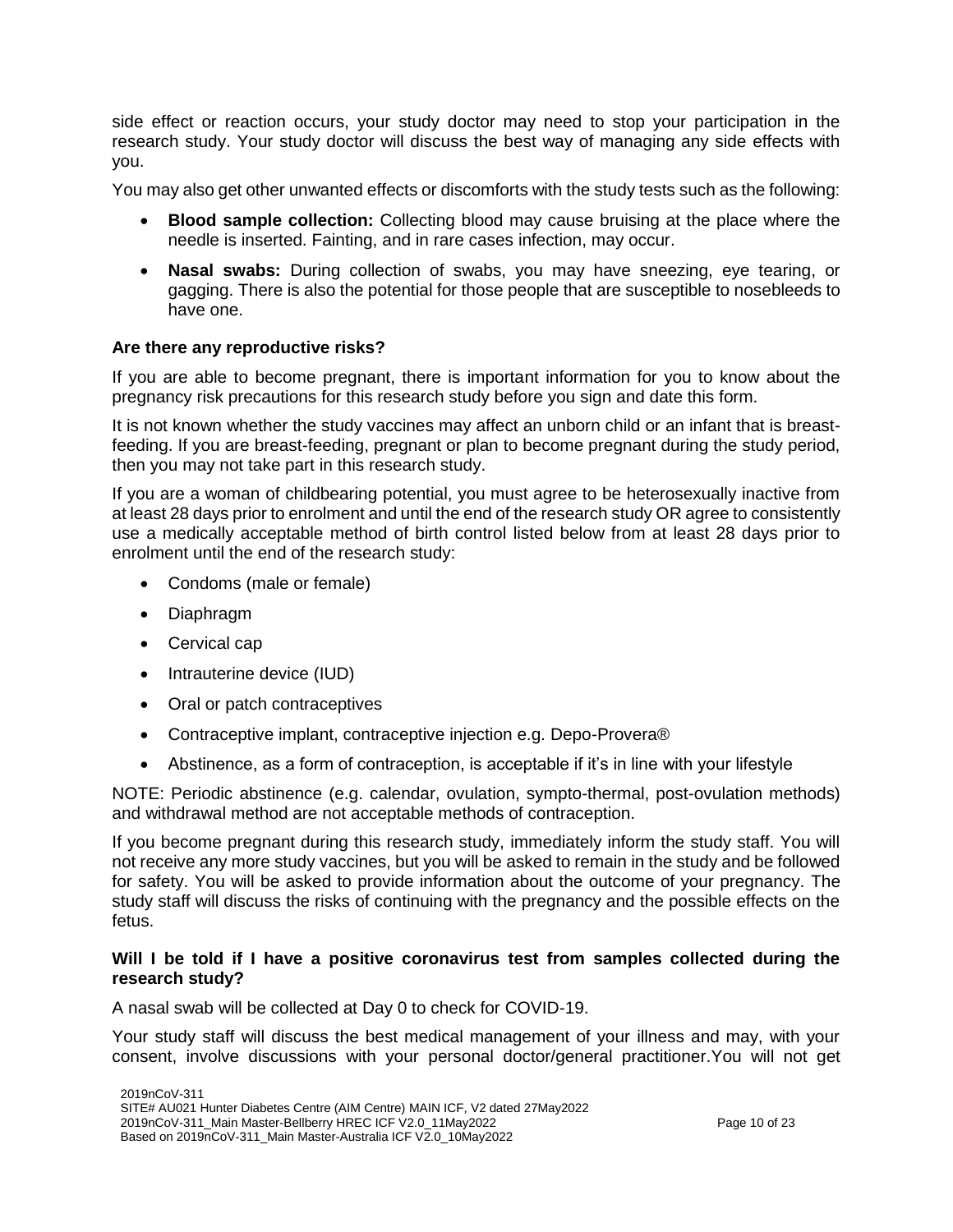side effect or reaction occurs, your study doctor may need to stop your participation in the research study. Your study doctor will discuss the best way of managing any side effects with you.

You may also get other unwanted effects or discomforts with the study tests such as the following:

- **Blood sample collection:** Collecting blood may cause bruising at the place where the needle is inserted. Fainting, and in rare cases infection, may occur.
- **Nasal swabs:** During collection of swabs, you may have sneezing, eye tearing, or gagging. There is also the potential for those people that are susceptible to nosebleeds to have one.

### **Are there any reproductive risks?**

If you are able to become pregnant, there is important information for you to know about the pregnancy risk precautions for this research study before you sign and date this form.

It is not known whether the study vaccines may affect an unborn child or an infant that is breastfeeding. If you are breast-feeding, pregnant or plan to become pregnant during the study period, then you may not take part in this research study.

If you are a woman of childbearing potential, you must agree to be heterosexually inactive from at least 28 days prior to enrolment and until the end of the research study OR agree to consistently use a medically acceptable method of birth control listed below from at least 28 days prior to enrolment until the end of the research study:

- Condoms (male or female)
- Diaphragm
- Cervical cap
- Intrauterine device (IUD)
- Oral or patch contraceptives
- Contraceptive implant, contraceptive injection e.g. Depo-Provera<sup>®</sup>
- Abstinence, as a form of contraception, is acceptable if it's in line with your lifestyle

NOTE: Periodic abstinence (e.g. calendar, ovulation, sympto-thermal, post-ovulation methods) and withdrawal method are not acceptable methods of contraception.

If you become pregnant during this research study, immediately inform the study staff. You will not receive any more study vaccines, but you will be asked to remain in the study and be followed for safety. You will be asked to provide information about the outcome of your pregnancy. The study staff will discuss the risks of continuing with the pregnancy and the possible effects on the fetus.

#### **Will I be told if I have a positive coronavirus test from samples collected during the research study?**

A nasal swab will be collected at Day 0 to check for COVID-19.

Your study staff will discuss the best medical management of your illness and may, with your consent, involve discussions with your personal doctor/general practitioner.You will not get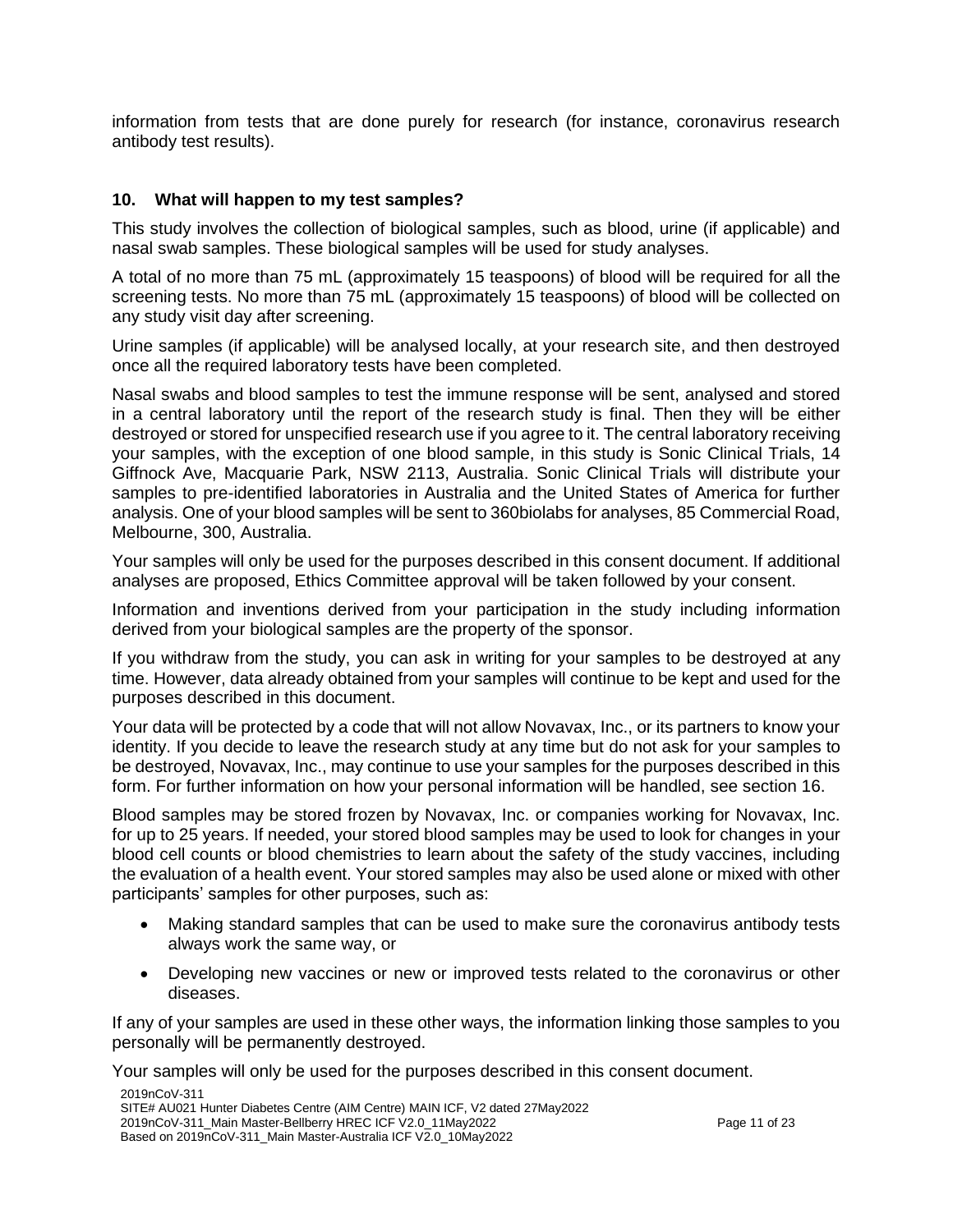information from tests that are done purely for research (for instance, coronavirus research antibody test results).

### **10. What will happen to my test samples?**

This study involves the collection of biological samples, such as blood, urine (if applicable) and nasal swab samples. These biological samples will be used for study analyses.

A total of no more than 75 mL (approximately 15 teaspoons) of blood will be required for all the screening tests. No more than 75 mL (approximately 15 teaspoons) of blood will be collected on any study visit day after screening.

Urine samples (if applicable) will be analysed locally, at your research site, and then destroyed once all the required laboratory tests have been completed.

Nasal swabs and blood samples to test the immune response will be sent, analysed and stored in a central laboratory until the report of the research study is final. Then they will be either destroyed or stored for unspecified research use if you agree to it. The central laboratory receiving your samples, with the exception of one blood sample, in this study is Sonic Clinical Trials, 14 Giffnock Ave, Macquarie Park, NSW 2113, Australia. Sonic Clinical Trials will distribute your samples to pre-identified laboratories in Australia and the United States of America for further analysis. One of your blood samples will be sent to 360biolabs for analyses, 85 Commercial Road, Melbourne, 300, Australia.

Your samples will only be used for the purposes described in this consent document. If additional analyses are proposed, Ethics Committee approval will be taken followed by your consent.

Information and inventions derived from your participation in the study including information derived from your biological samples are the property of the sponsor.

If you withdraw from the study, you can ask in writing for your samples to be destroyed at any time. However, data already obtained from your samples will continue to be kept and used for the purposes described in this document.

Your data will be protected by a code that will not allow Novavax, Inc., or its partners to know your identity. If you decide to leave the research study at any time but do not ask for your samples to be destroyed, Novavax, Inc., may continue to use your samples for the purposes described in this form. For further information on how your personal information will be handled, see section 16.

Blood samples may be stored frozen by Novavax, Inc. or companies working for Novavax, Inc. for up to 25 years. If needed, your stored blood samples may be used to look for changes in your blood cell counts or blood chemistries to learn about the safety of the study vaccines, including the evaluation of a health event. Your stored samples may also be used alone or mixed with other participants' samples for other purposes, such as:

- Making standard samples that can be used to make sure the coronavirus antibody tests always work the same way, or
- Developing new vaccines or new or improved tests related to the coronavirus or other diseases.

If any of your samples are used in these other ways, the information linking those samples to you personally will be permanently destroyed.

Your samples will only be used for the purposes described in this consent document.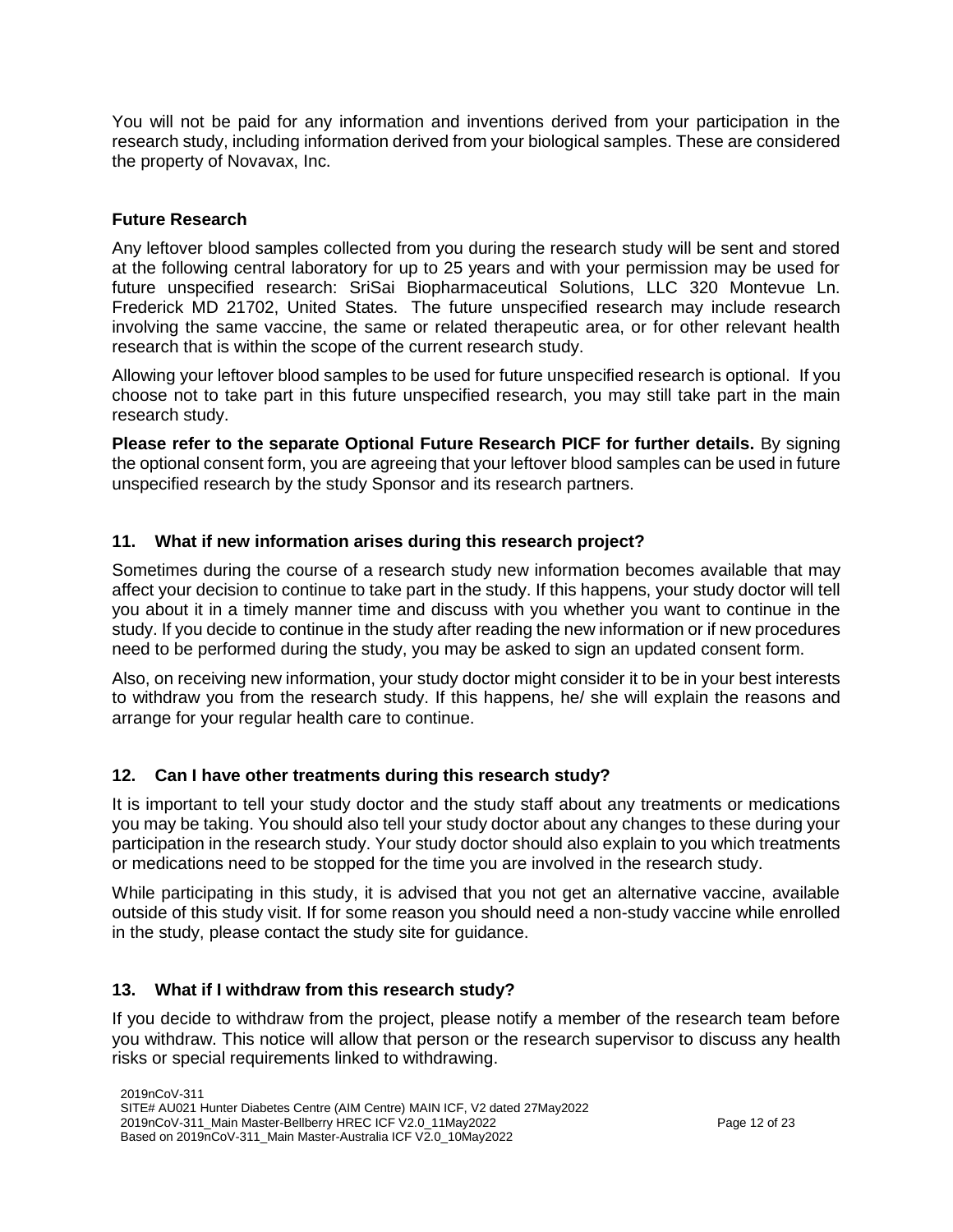You will not be paid for any information and inventions derived from your participation in the research study, including information derived from your biological samples. These are considered the property of Novavax, Inc.

# **Future Research**

Any leftover blood samples collected from you during the research study will be sent and stored at the following central laboratory for up to 25 years and with your permission may be used for future unspecified research: SriSai Biopharmaceutical Solutions, LLC 320 Montevue Ln. Frederick MD 21702, United States. The future unspecified research may include research involving the same vaccine, the same or related therapeutic area, or for other relevant health research that is within the scope of the current research study.

Allowing your leftover blood samples to be used for future unspecified research is optional. If you choose not to take part in this future unspecified research, you may still take part in the main research study.

**Please refer to the separate Optional Future Research PICF for further details.** By signing the optional consent form, you are agreeing that your leftover blood samples can be used in future unspecified research by the study Sponsor and its research partners.

# **11. What if new information arises during this research project?**

Sometimes during the course of a research study new information becomes available that may affect your decision to continue to take part in the study. If this happens, your study doctor will tell you about it in a timely manner time and discuss with you whether you want to continue in the study. If you decide to continue in the study after reading the new information or if new procedures need to be performed during the study, you may be asked to sign an updated consent form.

Also, on receiving new information, your study doctor might consider it to be in your best interests to withdraw you from the research study. If this happens, he/ she will explain the reasons and arrange for your regular health care to continue.

# **12. Can I have other treatments during this research study?**

It is important to tell your study doctor and the study staff about any treatments or medications you may be taking. You should also tell your study doctor about any changes to these during your participation in the research study. Your study doctor should also explain to you which treatments or medications need to be stopped for the time you are involved in the research study.

While participating in this study, it is advised that you not get an alternative vaccine, available outside of this study visit. If for some reason you should need a non-study vaccine while enrolled in the study, please contact the study site for guidance.

# **13. What if I withdraw from this research study?**

If you decide to withdraw from the project, please notify a member of the research team before you withdraw. This notice will allow that person or the research supervisor to discuss any health risks or special requirements linked to withdrawing.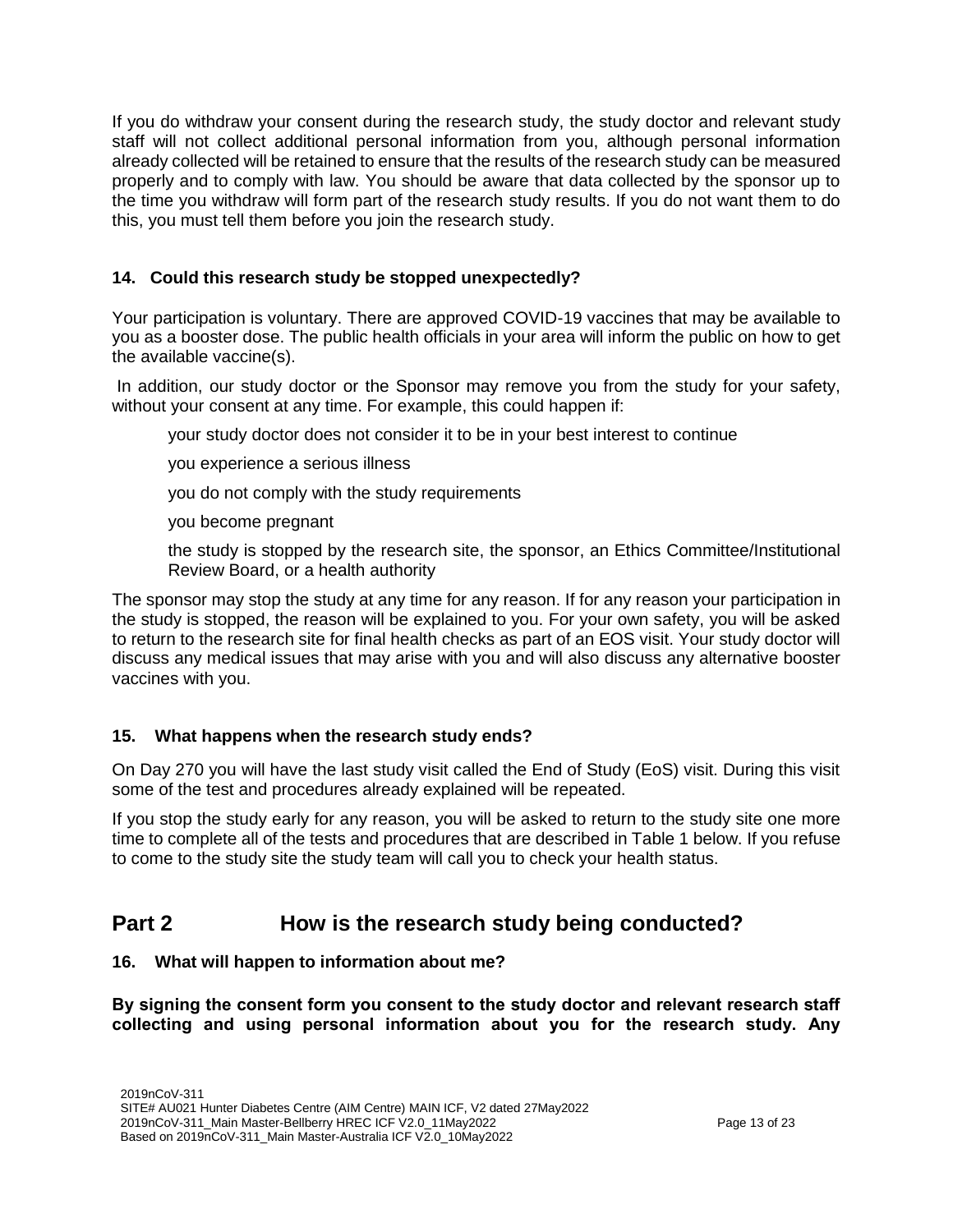If you do withdraw your consent during the research study, the study doctor and relevant study staff will not collect additional personal information from you, although personal information already collected will be retained to ensure that the results of the research study can be measured properly and to comply with law. You should be aware that data collected by the sponsor up to the time you withdraw will form part of the research study results. If you do not want them to do this, you must tell them before you join the research study.

# **14. Could this research study be stopped unexpectedly?**

Your participation is voluntary. There are approved COVID-19 vaccines that may be available to you as a booster dose. The public health officials in your area will inform the public on how to get the available vaccine(s).

In addition, our study doctor or the Sponsor may remove you from the study for your safety, without your consent at any time. For example, this could happen if:

your study doctor does not consider it to be in your best interest to continue

you experience a serious illness

you do not comply with the study requirements

you become pregnant

the study is stopped by the research site, the sponsor, an Ethics Committee/Institutional Review Board, or a health authority

The sponsor may stop the study at any time for any reason. If for any reason your participation in the study is stopped, the reason will be explained to you. For your own safety, you will be asked to return to the research site for final health checks as part of an EOS visit. Your study doctor will discuss any medical issues that may arise with you and will also discuss any alternative booster vaccines with you.

# **15. What happens when the research study ends?**

On Day 270 you will have the last study visit called the End of Study (EoS) visit. During this visit some of the test and procedures already explained will be repeated.

If you stop the study early for any reason, you will be asked to return to the study site one more time to complete all of the tests and procedures that are described in Table 1 below. If you refuse to come to the study site the study team will call you to check your health status.

# **Part 2 How is the research study being conducted?**

# **16. What will happen to information about me?**

**By signing the consent form you consent to the study doctor and relevant research staff collecting and using personal information about you for the research study. Any**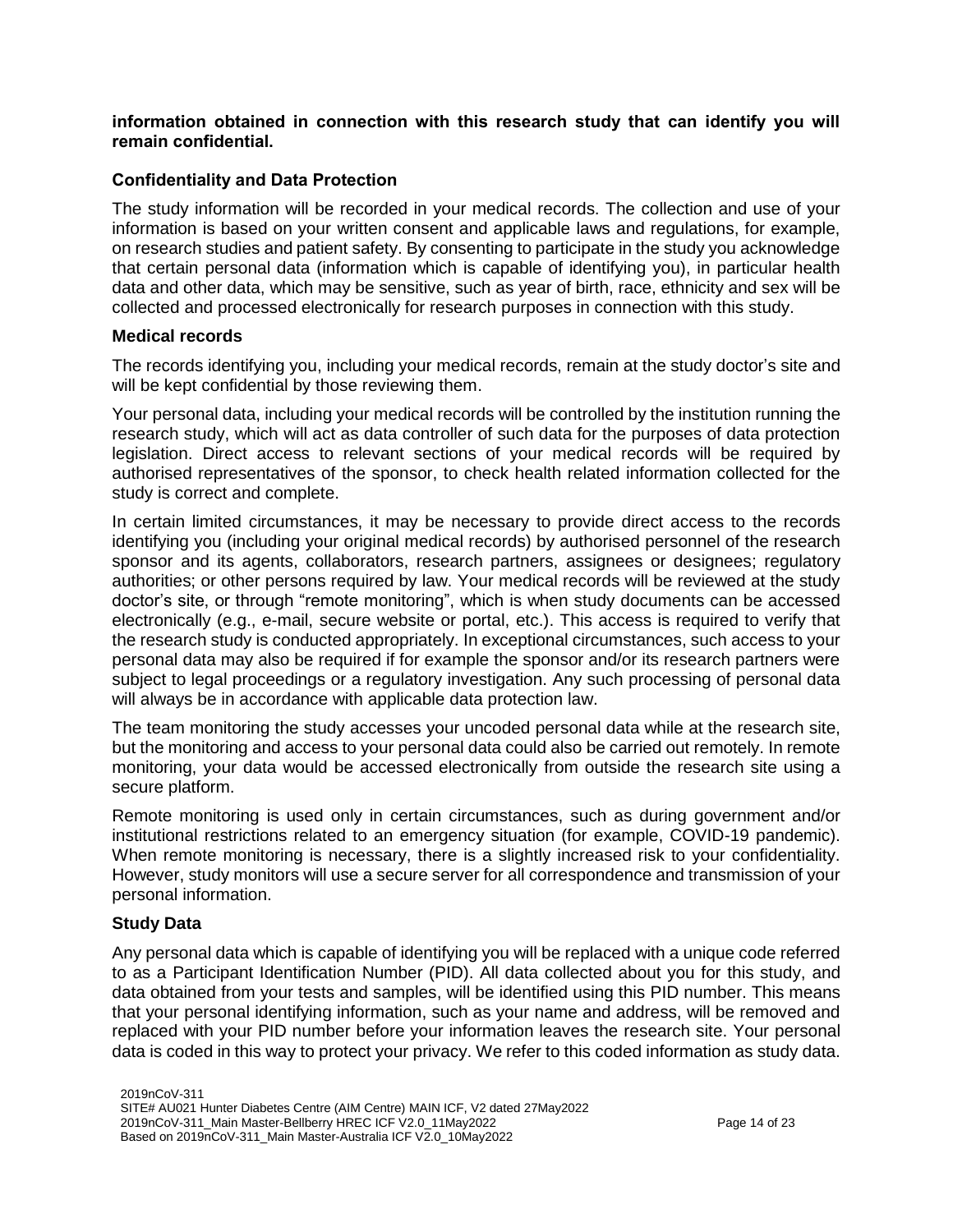# **information obtained in connection with this research study that can identify you will remain confidential.**

# **Confidentiality and Data Protection**

The study information will be recorded in your medical records. The collection and use of your information is based on your written consent and applicable laws and regulations, for example, on research studies and patient safety. By consenting to participate in the study you acknowledge that certain personal data (information which is capable of identifying you), in particular health data and other data, which may be sensitive, such as year of birth, race, ethnicity and sex will be collected and processed electronically for research purposes in connection with this study.

### **Medical records**

The records identifying you, including your medical records, remain at the study doctor's site and will be kept confidential by those reviewing them.

Your personal data, including your medical records will be controlled by the institution running the research study, which will act as data controller of such data for the purposes of data protection legislation. Direct access to relevant sections of your medical records will be required by authorised representatives of the sponsor, to check health related information collected for the study is correct and complete.

In certain limited circumstances, it may be necessary to provide direct access to the records identifying you (including your original medical records) by authorised personnel of the research sponsor and its agents, collaborators, research partners, assignees or designees; regulatory authorities; or other persons required by law. Your medical records will be reviewed at the study doctor's site, or through "remote monitoring", which is when study documents can be accessed electronically (e.g., e-mail, secure website or portal, etc.). This access is required to verify that the research study is conducted appropriately. In exceptional circumstances, such access to your personal data may also be required if for example the sponsor and/or its research partners were subject to legal proceedings or a regulatory investigation. Any such processing of personal data will always be in accordance with applicable data protection law.

The team monitoring the study accesses your uncoded personal data while at the research site, but the monitoring and access to your personal data could also be carried out remotely. In remote monitoring, your data would be accessed electronically from outside the research site using a secure platform.

Remote monitoring is used only in certain circumstances, such as during government and/or institutional restrictions related to an emergency situation (for example, COVID-19 pandemic). When remote monitoring is necessary, there is a slightly increased risk to your confidentiality. However, study monitors will use a secure server for all correspondence and transmission of your personal information.

# **Study Data**

Any personal data which is capable of identifying you will be replaced with a unique code referred to as a Participant Identification Number (PID). All data collected about you for this study, and data obtained from your tests and samples, will be identified using this PID number. This means that your personal identifying information, such as your name and address, will be removed and replaced with your PID number before your information leaves the research site. Your personal data is coded in this way to protect your privacy. We refer to this coded information as study data.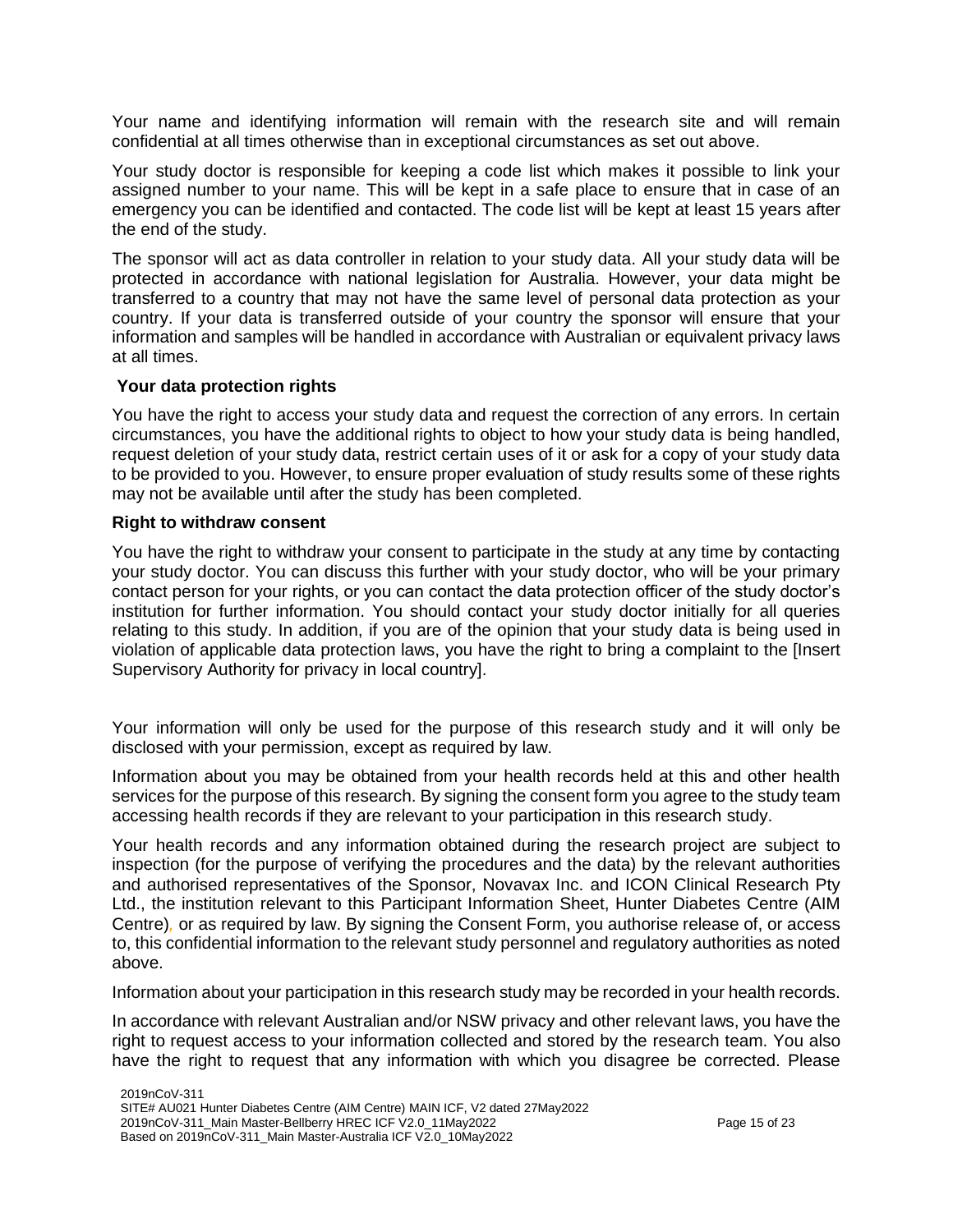Your name and identifying information will remain with the research site and will remain confidential at all times otherwise than in exceptional circumstances as set out above.

Your study doctor is responsible for keeping a code list which makes it possible to link your assigned number to your name. This will be kept in a safe place to ensure that in case of an emergency you can be identified and contacted. The code list will be kept at least 15 years after the end of the study.

The sponsor will act as data controller in relation to your study data. All your study data will be protected in accordance with national legislation for Australia. However, your data might be transferred to a country that may not have the same level of personal data protection as your country. If your data is transferred outside of your country the sponsor will ensure that your information and samples will be handled in accordance with Australian or equivalent privacy laws at all times.

### **Your data protection rights**

You have the right to access your study data and request the correction of any errors. In certain circumstances, you have the additional rights to object to how your study data is being handled, request deletion of your study data, restrict certain uses of it or ask for a copy of your study data to be provided to you. However, to ensure proper evaluation of study results some of these rights may not be available until after the study has been completed.

### **Right to withdraw consent**

You have the right to withdraw your consent to participate in the study at any time by contacting your study doctor. You can discuss this further with your study doctor, who will be your primary contact person for your rights, or you can contact the data protection officer of the study doctor's institution for further information. You should contact your study doctor initially for all queries relating to this study. In addition, if you are of the opinion that your study data is being used in violation of applicable data protection laws, you have the right to bring a complaint to the [Insert Supervisory Authority for privacy in local country].

Your information will only be used for the purpose of this research study and it will only be disclosed with your permission, except as required by law.

Information about you may be obtained from your health records held at this and other health services for the purpose of this research. By signing the consent form you agree to the study team accessing health records if they are relevant to your participation in this research study.

Your health records and any information obtained during the research project are subject to inspection (for the purpose of verifying the procedures and the data) by the relevant authorities and authorised representatives of the Sponsor, Novavax Inc. and ICON Clinical Research Pty Ltd., the institution relevant to this Participant Information Sheet, Hunter Diabetes Centre (AIM Centre)*,* or as required by law. By signing the Consent Form, you authorise release of, or access to, this confidential information to the relevant study personnel and regulatory authorities as noted above.

Information about your participation in this research study may be recorded in your health records.

In accordance with relevant Australian and/or NSW privacy and other relevant laws, you have the right to request access to your information collected and stored by the research team. You also have the right to request that any information with which you disagree be corrected. Please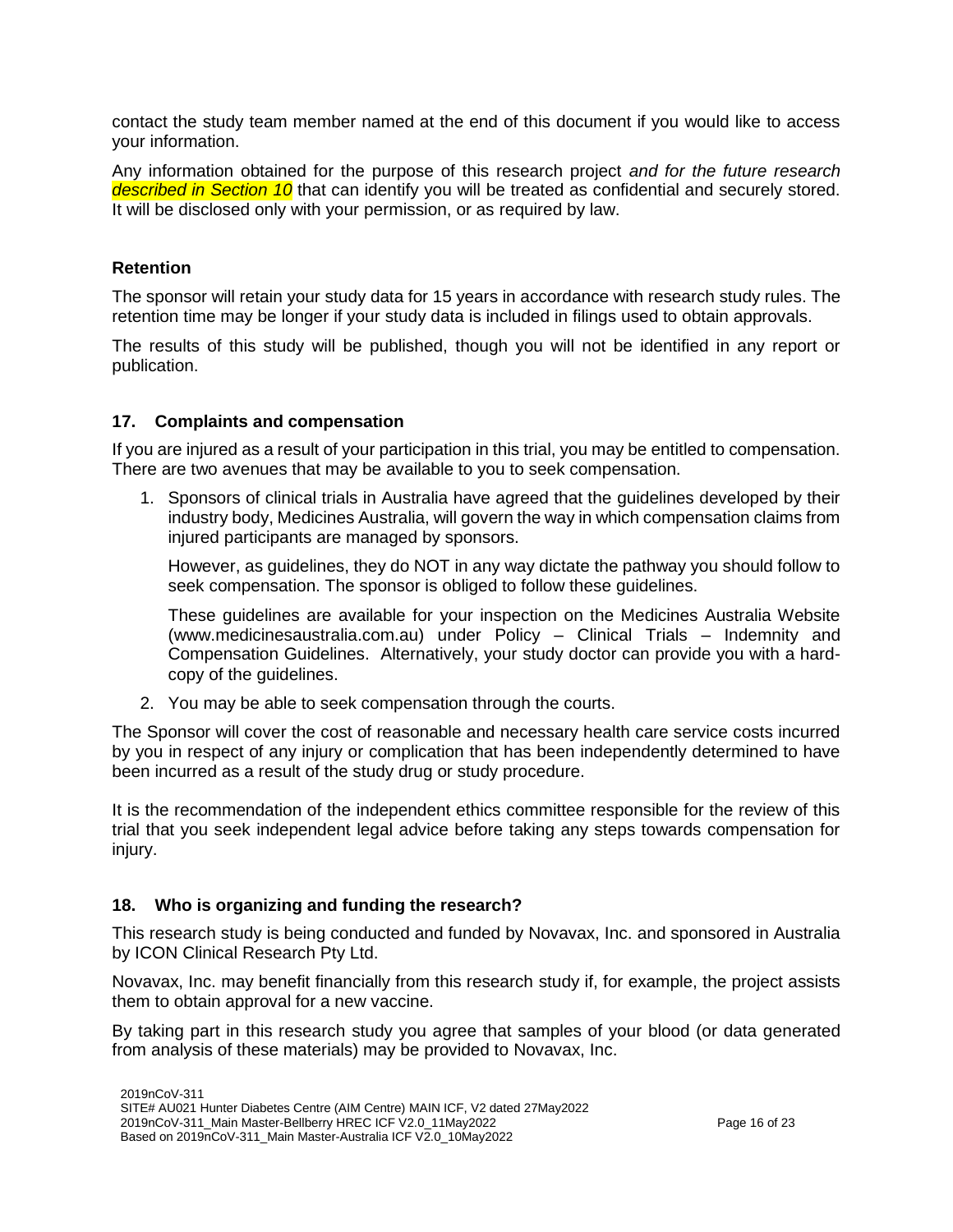contact the study team member named at the end of this document if you would like to access your information.

Any information obtained for the purpose of this research project *and for the future research described in Section 10* that can identify you will be treated as confidential and securely stored. It will be disclosed only with your permission, or as required by law.

# **Retention**

The sponsor will retain your study data for 15 years in accordance with research study rules. The retention time may be longer if your study data is included in filings used to obtain approvals.

The results of this study will be published, though you will not be identified in any report or publication.

# **17. Complaints and compensation**

If you are injured as a result of your participation in this trial, you may be entitled to compensation. There are two avenues that may be available to you to seek compensation.

1. Sponsors of clinical trials in Australia have agreed that the guidelines developed by their industry body, Medicines Australia, will govern the way in which compensation claims from injured participants are managed by sponsors.

However, as guidelines, they do NOT in any way dictate the pathway you should follow to seek compensation. The sponsor is obliged to follow these guidelines.

These guidelines are available for your inspection on the Medicines Australia Website (www.medicinesaustralia.com.au) under Policy – Clinical Trials – Indemnity and Compensation Guidelines. Alternatively, your study doctor can provide you with a hardcopy of the guidelines.

2. You may be able to seek compensation through the courts.

The Sponsor will cover the cost of reasonable and necessary health care service costs incurred by you in respect of any injury or complication that has been independently determined to have been incurred as a result of the study drug or study procedure.

It is the recommendation of the independent ethics committee responsible for the review of this trial that you seek independent legal advice before taking any steps towards compensation for injury.

# **18. Who is organizing and funding the research?**

This research study is being conducted and funded by Novavax, Inc. and sponsored in Australia by ICON Clinical Research Pty Ltd.

Novavax, Inc. may benefit financially from this research study if, for example, the project assists them to obtain approval for a new vaccine.

By taking part in this research study you agree that samples of your blood (or data generated from analysis of these materials) may be provided to Novavax, Inc.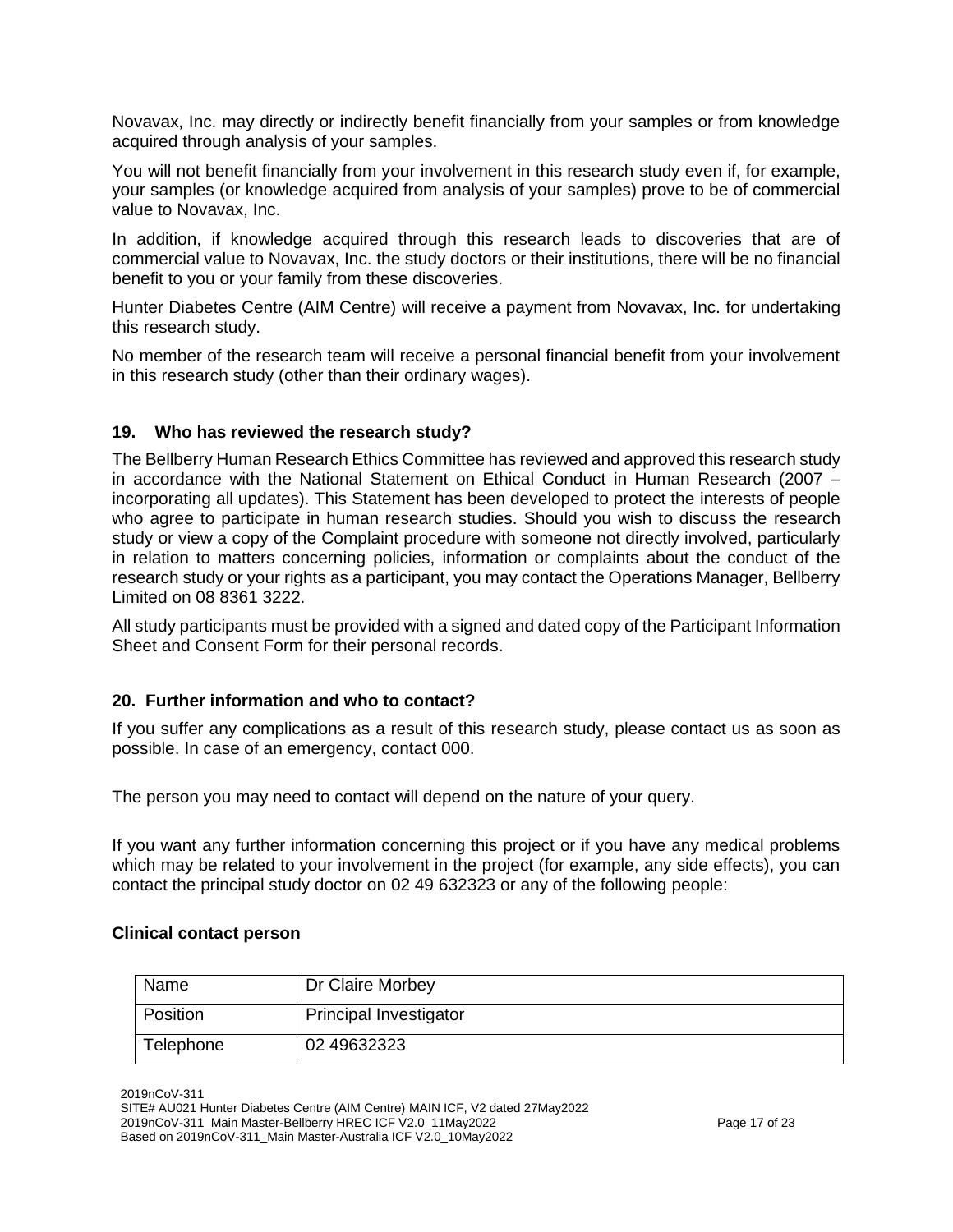Novavax, Inc. may directly or indirectly benefit financially from your samples or from knowledge acquired through analysis of your samples.

You will not benefit financially from your involvement in this research study even if, for example, your samples (or knowledge acquired from analysis of your samples) prove to be of commercial value to Novavax, Inc.

In addition, if knowledge acquired through this research leads to discoveries that are of commercial value to Novavax, Inc. the study doctors or their institutions, there will be no financial benefit to you or your family from these discoveries.

Hunter Diabetes Centre (AIM Centre) will receive a payment from Novavax, Inc. for undertaking this research study.

No member of the research team will receive a personal financial benefit from your involvement in this research study (other than their ordinary wages).

### **19. Who has reviewed the research study?**

The Bellberry Human Research Ethics Committee has reviewed and approved this research study in accordance with the National Statement on Ethical Conduct in Human Research (2007 – incorporating all updates). This Statement has been developed to protect the interests of people who agree to participate in human research studies. Should you wish to discuss the research study or view a copy of the Complaint procedure with someone not directly involved, particularly in relation to matters concerning policies, information or complaints about the conduct of the research study or your rights as a participant, you may contact the Operations Manager, Bellberry Limited on 08 8361 3222.

All study participants must be provided with a signed and dated copy of the Participant Information Sheet and Consent Form for their personal records.

### **20. Further information and who to contact?**

If you suffer any complications as a result of this research study, please contact us as soon as possible. In case of an emergency, contact 000.

The person you may need to contact will depend on the nature of your query.

If you want any further information concerning this project or if you have any medical problems which may be related to your involvement in the project (for example, any side effects), you can contact the principal study doctor on 02 49 632323 or any of the following people:

#### **Clinical contact person**

| Name      | Dr Claire Morbey              |
|-----------|-------------------------------|
| Position  | <b>Principal Investigator</b> |
| Telephone | 02 49632323                   |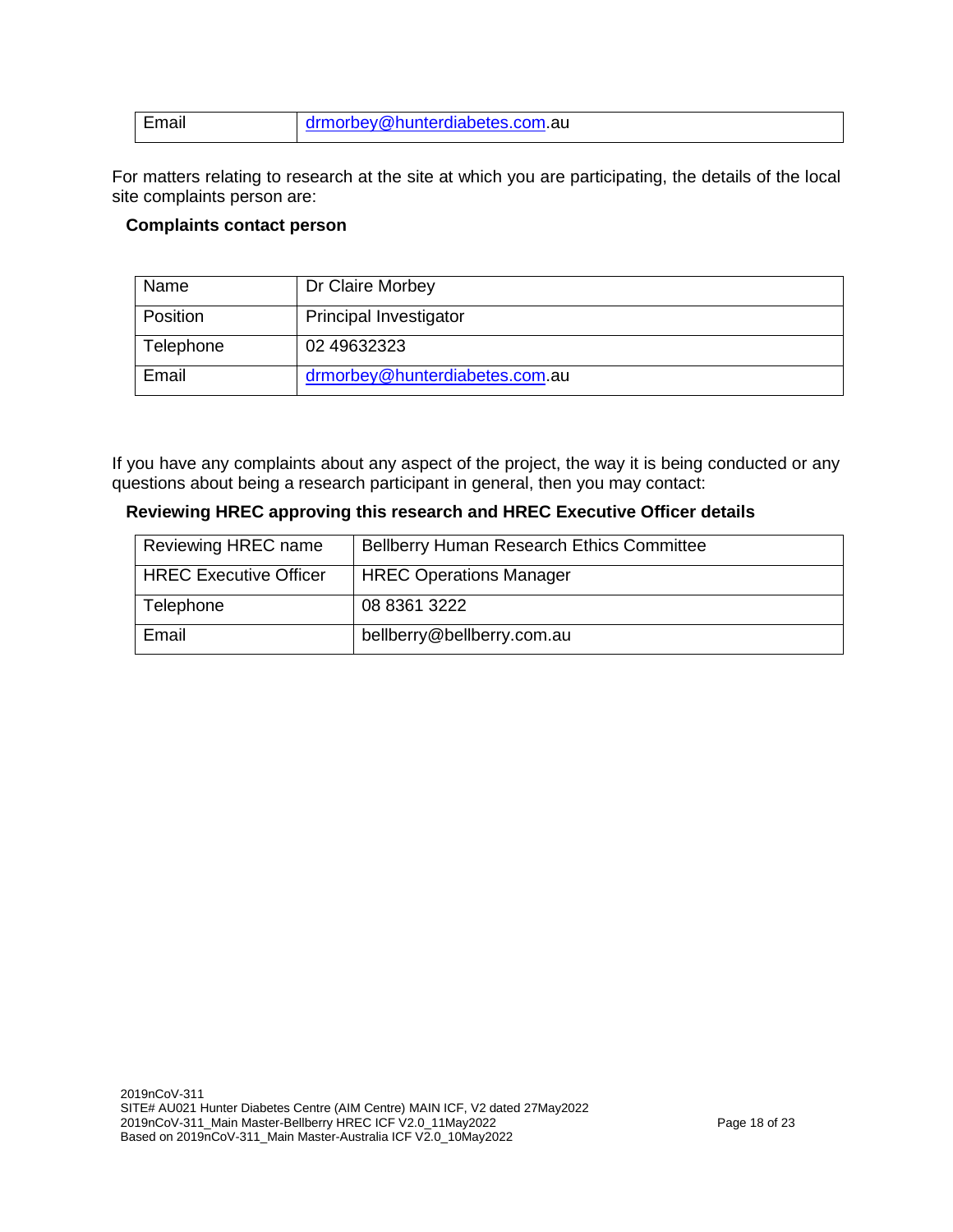| Email | drmorbey@hunterdiabetes.com.au |
|-------|--------------------------------|
|       |                                |

For matters relating to research at the site at which you are participating, the details of the local site complaints person are:

### **Complaints contact person**

| Name      | Dr Claire Morbey               |
|-----------|--------------------------------|
| Position  | <b>Principal Investigator</b>  |
| Telephone | 02 49632323                    |
| Email     | drmorbey@hunterdiabetes.com.au |

If you have any complaints about any aspect of the project, the way it is being conducted or any questions about being a research participant in general, then you may contact:

| Reviewing HREC approving this research and HREC Executive Officer details |  |  |
|---------------------------------------------------------------------------|--|--|
|---------------------------------------------------------------------------|--|--|

| Reviewing HREC name           | <b>Bellberry Human Research Ethics Committee</b> |
|-------------------------------|--------------------------------------------------|
| <b>HREC Executive Officer</b> | <b>HREC Operations Manager</b>                   |
| Telephone                     | 08 8361 3222                                     |
| Email                         | bellberry@bellberry.com.au                       |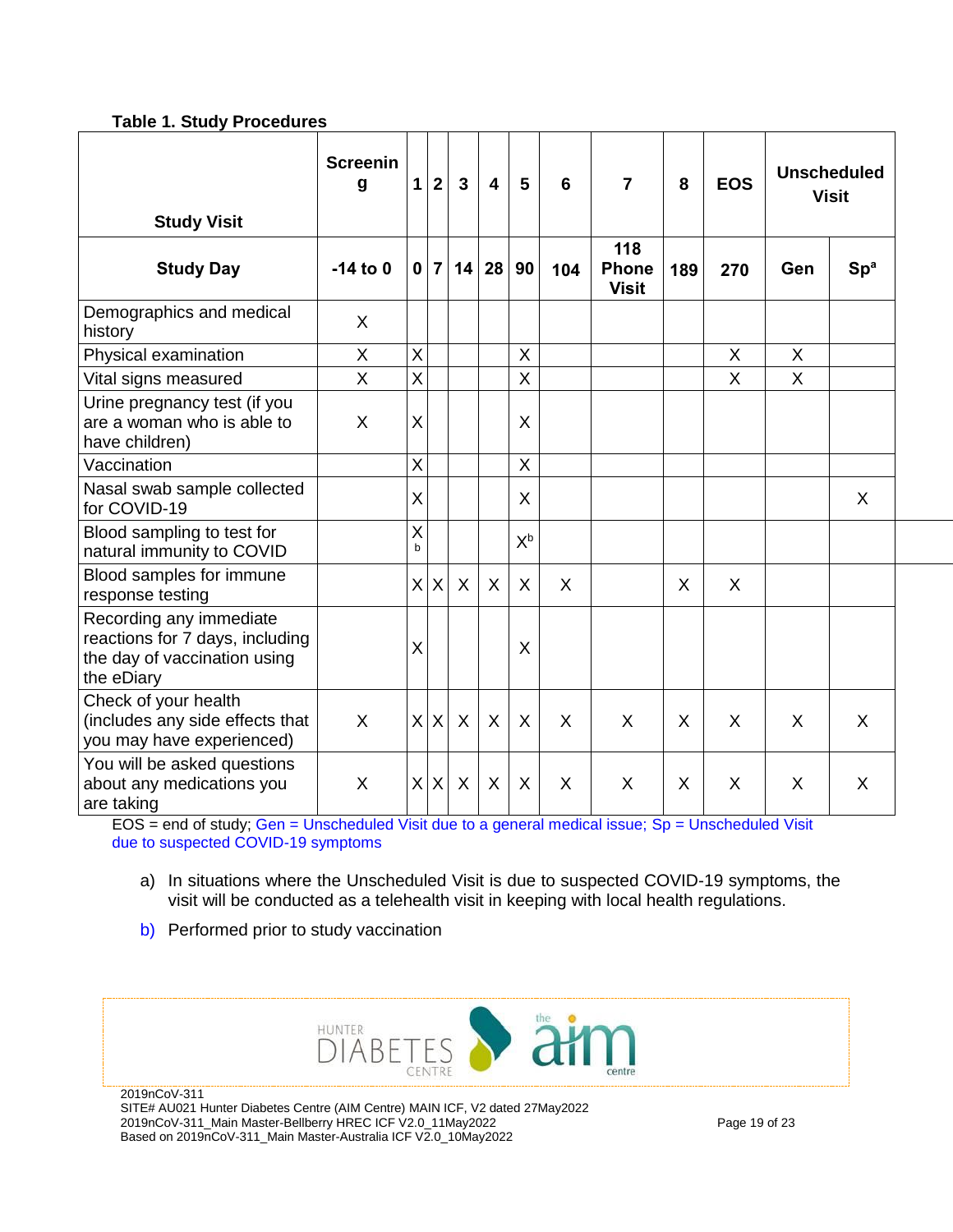### **Table 1. Study Procedures**

|                                                                                                          | <b>Screenin</b><br>g | $\mathbf{1}$   | $\overline{\mathbf{2}}$ | $\overline{3}$ | $\overline{\mathbf{4}}$ | 5       | 6            | $\overline{7}$                      | 8   | <b>EOS</b> |     | <b>Unscheduled</b><br><b>Visit</b> |
|----------------------------------------------------------------------------------------------------------|----------------------|----------------|-------------------------|----------------|-------------------------|---------|--------------|-------------------------------------|-----|------------|-----|------------------------------------|
| <b>Study Visit</b><br><b>Study Day</b>                                                                   | $-14$ to 0           | $\mathbf{0}$   | 7 <sup>1</sup>          | 14             | 28                      | 90      | 104          | 118<br><b>Phone</b><br><b>Visit</b> | 189 | 270        | Gen | Sp <sup>a</sup>                    |
| Demographics and medical<br>history                                                                      | X                    |                |                         |                |                         |         |              |                                     |     |            |     |                                    |
| Physical examination                                                                                     | X                    | X              |                         |                |                         | X       |              |                                     |     | X          | X   |                                    |
| Vital signs measured                                                                                     | X                    | X              |                         |                |                         | X       |              |                                     |     | X          | X   |                                    |
| Urine pregnancy test (if you<br>are a woman who is able to<br>have children)                             | X                    | X              |                         |                |                         | X       |              |                                     |     |            |     |                                    |
| Vaccination                                                                                              |                      | X              |                         |                |                         | X       |              |                                     |     |            |     |                                    |
| Nasal swab sample collected<br>for COVID-19                                                              |                      | X.             |                         |                |                         | X       |              |                                     |     |            |     | X                                  |
| Blood sampling to test for<br>natural immunity to COVID                                                  |                      | X<br>b         |                         |                |                         | $X^b$   |              |                                     |     |            |     |                                    |
| Blood samples for immune<br>response testing                                                             |                      |                | X X                     | $\sf X$        | X                       | $\sf X$ | $\mathsf{X}$ |                                     | X   | X          |     |                                    |
| Recording any immediate<br>reactions for 7 days, including<br>the day of vaccination using<br>the eDiary |                      | X              |                         |                |                         | X       |              |                                     |     |            |     |                                    |
| Check of your health<br>(includes any side effects that<br>you may have experienced)                     | X                    | x <sub>l</sub> | X                       | $\sf X$        | $\sf X$                 | X       | X            | X                                   | X   | X          | X   | X                                  |
| You will be asked questions<br>about any medications you<br>are taking                                   | X                    | ΧI             | $\mathsf{X}$            | X              | X                       | X       | X            | X                                   | X   | X          | X   | $\sf X$                            |

EOS = end of study; Gen = Unscheduled Visit due to a general medical issue; Sp = Unscheduled Visit due to suspected COVID-19 symptoms

- a) In situations where the Unscheduled Visit is due to suspected COVID-19 symptoms, the visit will be conducted as a telehealth visit in keeping with local health regulations.
- b) Performed prior to study vaccination



2019nCoV-311\_Main Master-Bellberry HREC ICF V2.0\_11May2022 Based on 2019nCoV-311\_Main Master-Australia ICF V2.0\_10May2022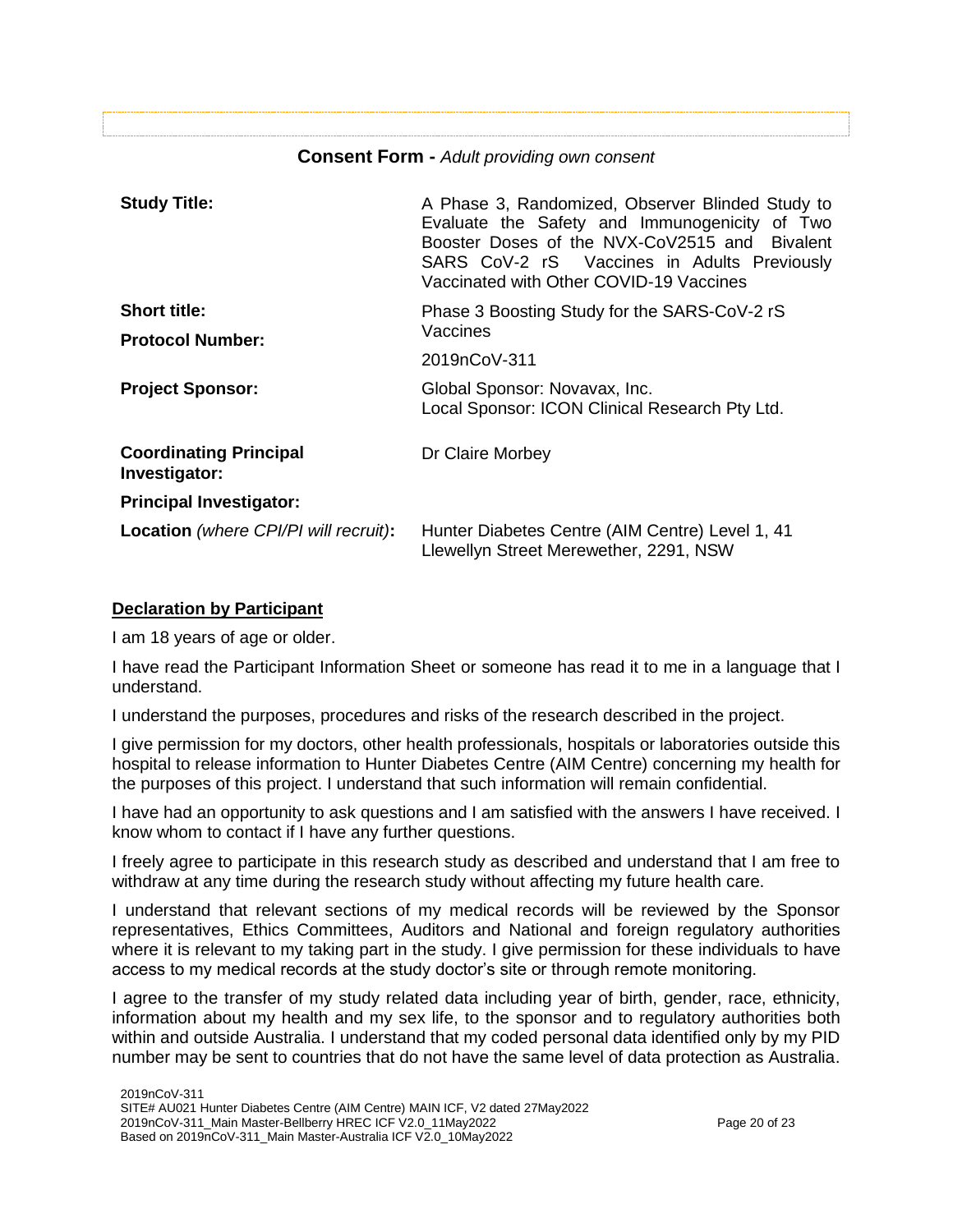# **Consent Form -** *Adult providing own consent*

| <b>Study Title:</b>                            | A Phase 3, Randomized, Observer Blinded Study to<br>Evaluate the Safety and Immunogenicity of Two<br>Booster Doses of the NVX-CoV2515 and Bivalent<br>SARS CoV-2 rS Vaccines in Adults Previously<br>Vaccinated with Other COVID-19 Vaccines |  |  |  |  |
|------------------------------------------------|----------------------------------------------------------------------------------------------------------------------------------------------------------------------------------------------------------------------------------------------|--|--|--|--|
| <b>Short title:</b>                            | Phase 3 Boosting Study for the SARS-CoV-2 rS                                                                                                                                                                                                 |  |  |  |  |
| <b>Protocol Number:</b>                        | Vaccines                                                                                                                                                                                                                                     |  |  |  |  |
|                                                | 2019nCoV-311                                                                                                                                                                                                                                 |  |  |  |  |
| <b>Project Sponsor:</b>                        | Global Sponsor: Novavax, Inc.<br>Local Sponsor: ICON Clinical Research Pty Ltd.                                                                                                                                                              |  |  |  |  |
| <b>Coordinating Principal</b><br>Investigator: | Dr Claire Morbey                                                                                                                                                                                                                             |  |  |  |  |
| <b>Principal Investigator:</b>                 |                                                                                                                                                                                                                                              |  |  |  |  |
| <b>Location</b> (where CPI/PI will recruit):   | Hunter Diabetes Centre (AIM Centre) Level 1, 41<br>Llewellyn Street Merewether, 2291, NSW                                                                                                                                                    |  |  |  |  |

# **Declaration by Participant**

I am 18 years of age or older.

I have read the Participant Information Sheet or someone has read it to me in a language that I understand.

I understand the purposes, procedures and risks of the research described in the project.

I give permission for my doctors, other health professionals, hospitals or laboratories outside this hospital to release information to Hunter Diabetes Centre (AIM Centre) concerning my health for the purposes of this project. I understand that such information will remain confidential.

I have had an opportunity to ask questions and I am satisfied with the answers I have received. I know whom to contact if I have any further questions.

I freely agree to participate in this research study as described and understand that I am free to withdraw at any time during the research study without affecting my future health care.

I understand that relevant sections of my medical records will be reviewed by the Sponsor representatives, Ethics Committees, Auditors and National and foreign regulatory authorities where it is relevant to my taking part in the study. I give permission for these individuals to have access to my medical records at the study doctor's site or through remote monitoring.

I agree to the transfer of my study related data including year of birth, gender, race, ethnicity, information about my health and my sex life, to the sponsor and to regulatory authorities both within and outside Australia. I understand that my coded personal data identified only by my PID number may be sent to countries that do not have the same level of data protection as Australia.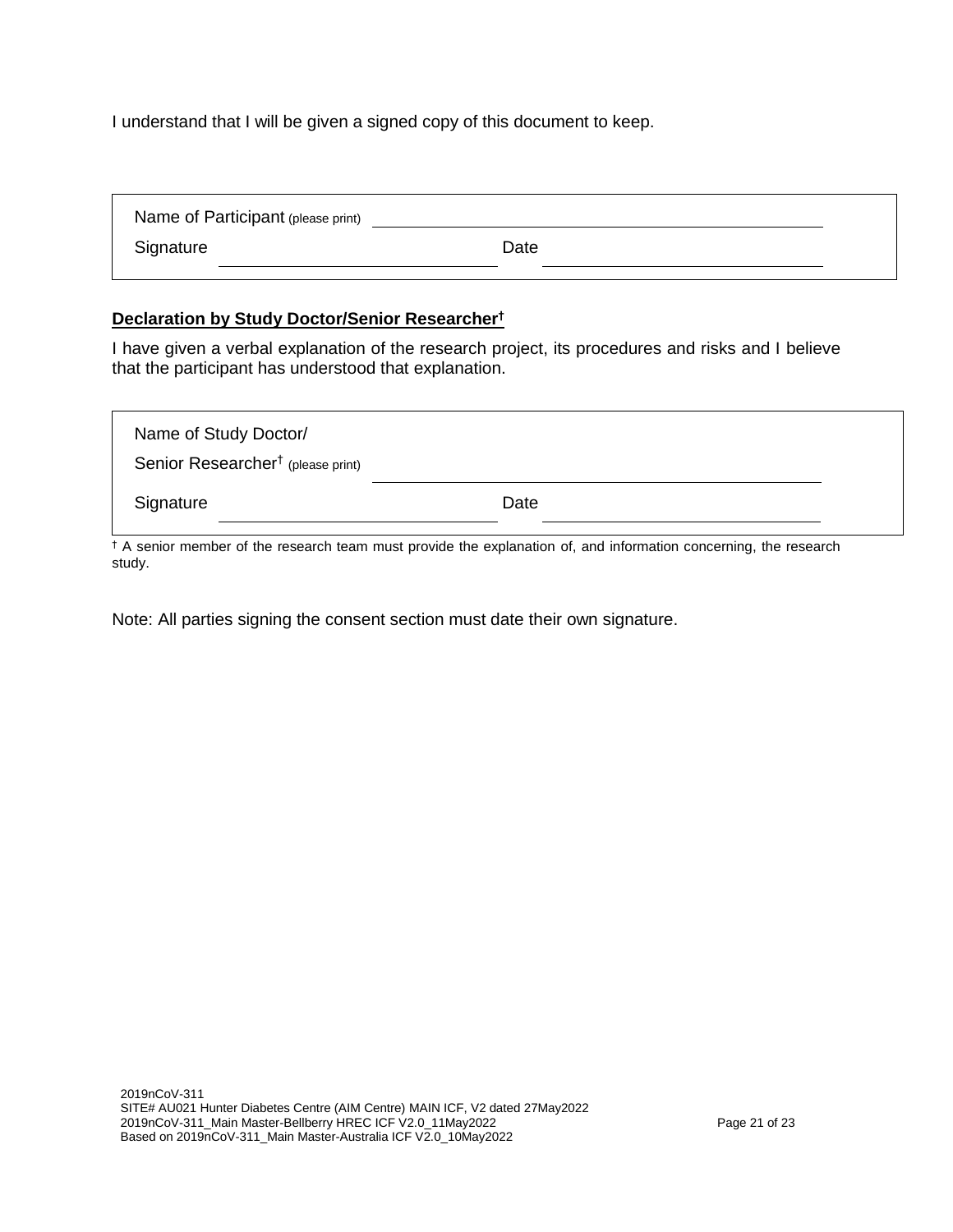I understand that I will be given a signed copy of this document to keep.

| Name of Participant (please print) |      |  |
|------------------------------------|------|--|
| Signature                          | Date |  |
|                                    |      |  |

# **Declaration by Study Doctor/Senior Researcher†**

I have given a verbal explanation of the research project, its procedures and risks and I believe that the participant has understood that explanation.

| Name of Study Doctor/<br>Senior Researcher <sup>†</sup> (please print) |      |  |
|------------------------------------------------------------------------|------|--|
| Signature                                                              | Date |  |

† A senior member of the research team must provide the explanation of, and information concerning, the research study.

Note: All parties signing the consent section must date their own signature.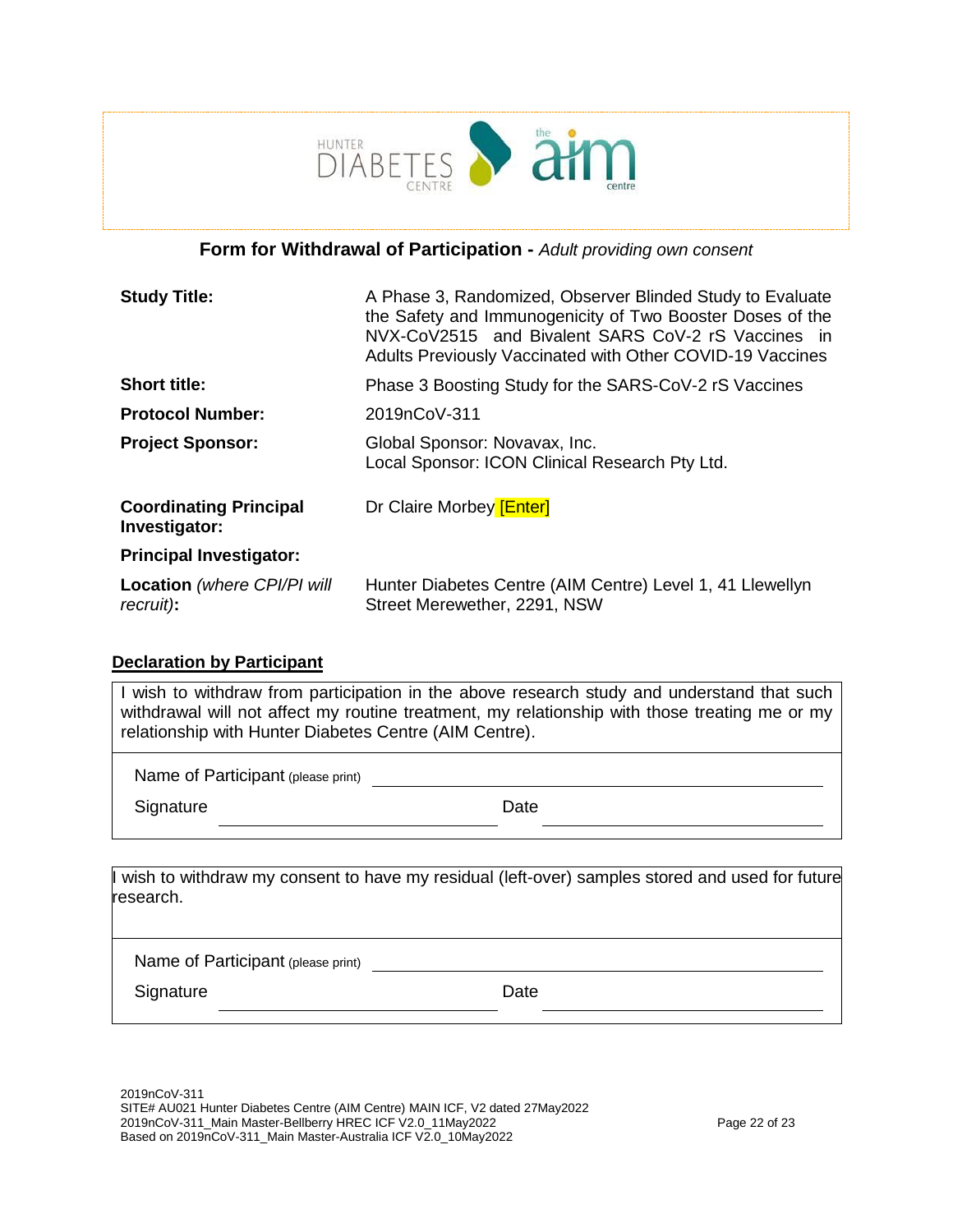

# **Form for Withdrawal of Participation -** *Adult providing own consent*

| <b>Study Title:</b>                             | A Phase 3, Randomized, Observer Blinded Study to Evaluate<br>the Safety and Immunogenicity of Two Booster Doses of the<br>NVX-CoV2515 and Bivalent SARS CoV-2 rS Vaccines in<br>Adults Previously Vaccinated with Other COVID-19 Vaccines |
|-------------------------------------------------|-------------------------------------------------------------------------------------------------------------------------------------------------------------------------------------------------------------------------------------------|
| <b>Short title:</b>                             | Phase 3 Boosting Study for the SARS-CoV-2 rS Vaccines                                                                                                                                                                                     |
| <b>Protocol Number:</b>                         | 2019nCoV-311                                                                                                                                                                                                                              |
| <b>Project Sponsor:</b>                         | Global Sponsor: Novavax, Inc.<br>Local Sponsor: ICON Clinical Research Pty Ltd.                                                                                                                                                           |
| <b>Coordinating Principal</b><br>Investigator:  | Dr Claire Morbey [Enter]                                                                                                                                                                                                                  |
| <b>Principal Investigator:</b>                  |                                                                                                                                                                                                                                           |
| <b>Location</b> (where CPI/PI will<br>recruit): | Hunter Diabetes Centre (AIM Centre) Level 1, 41 Llewellyn<br>Street Merewether, 2291, NSW                                                                                                                                                 |

# **Declaration by Participant**

I wish to withdraw from participation in the above research study and understand that such withdrawal will not affect my routine treatment, my relationship with those treating me or my relationship with Hunter Diabetes Centre (AIM Centre).

Name of Participant (please print)

Signature Date Date

wish to withdraw my consent to have my residual (left-over) samples stored and used for future research.

Name of Participant (please print)

Signature Date